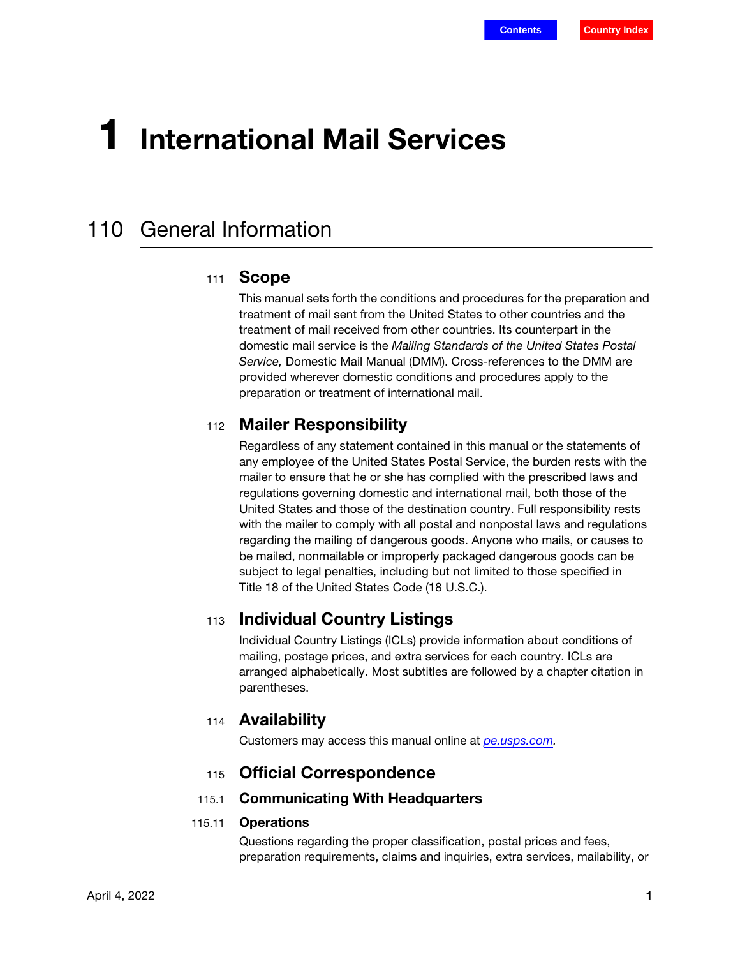# 1 International Mail Services

## 110 General Information

#### 111 **Scope**

This manual sets forth the conditions and procedures for the preparation and treatment of mail sent from the United States to other countries and the treatment of mail received from other countries. Its counterpart in the domestic mail service is the Mailing Standards of the United States Postal Service, Domestic Mail Manual (DMM). Cross-references to the DMM are provided wherever domestic conditions and procedures apply to the preparation or treatment of international mail.

## <sup>112</sup> Mailer Responsibility

Regardless of any statement contained in this manual or the statements of any employee of the United States Postal Service, the burden rests with the mailer to ensure that he or she has complied with the prescribed laws and regulations governing domestic and international mail, both those of the United States and those of the destination country. Full responsibility rests with the mailer to comply with all postal and nonpostal laws and regulations regarding the mailing of dangerous goods. Anyone who mails, or causes to be mailed, nonmailable or improperly packaged dangerous goods can be subject to legal penalties, including but not limited to those specified in Title 18 of the United States Code (18 U.S.C.).

## <sup>113</sup> Individual Country Listings

Individual Country Listings (ICLs) provide information about conditions of mailing, postage prices, and extra services for each country. ICLs are arranged alphabetically. Most subtitles are followed by a chapter citation in parentheses.

## <sup>114</sup> Availability

Customers may access this manual online at [pe.usps.com.](http://pe.usps.com)

## <sup>115</sup> Official Correspondence

#### 115.1 Communicating With Headquarters

#### <span id="page-0-0"></span>115.11 Operations

Questions regarding the proper classification, postal prices and fees, preparation requirements, claims and inquiries, extra services, mailability, or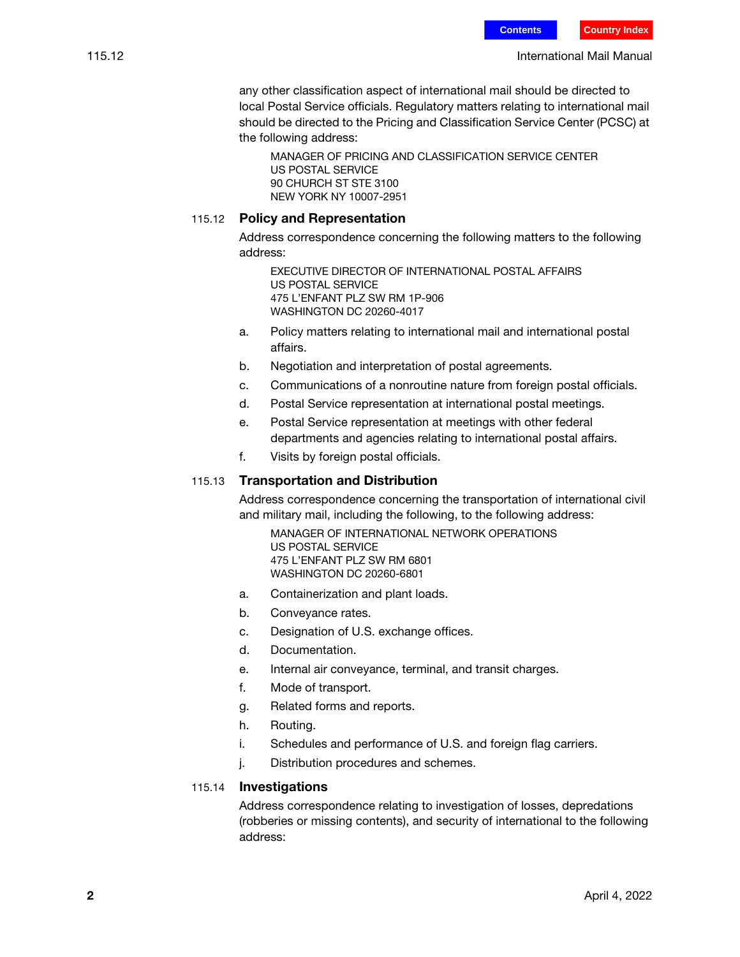any other classification aspect of international mail should be directed to local Postal Service officials. Regulatory matters relating to international mail should be directed to the Pricing and Classification Service Center (PCSC) at the following address:

MANAGER OF PRICING AND CLASSIFICATION SERVICE CENTER US POSTAL SERVICE 90 CHURCH ST STE 3100 NEW YORK NY 10007-2951

#### 115.12 Policy and Representation

Address correspondence concerning the following matters to the following address:

EXECUTIVE DIRECTOR OF INTERNATIONAL POSTAL AFFAIRS US POSTAL SERVICE 475 L'ENFANT PLZ SW RM 1P-906 WASHINGTON DC 20260-4017

- a. Policy matters relating to international mail and international postal affairs.
- b. Negotiation and interpretation of postal agreements.
- c. Communications of a nonroutine nature from foreign postal officials.
- d. Postal Service representation at international postal meetings.
- e. Postal Service representation at meetings with other federal departments and agencies relating to international postal affairs.
- f. Visits by foreign postal officials.

#### 115.13 Transportation and Distribution

Address correspondence concerning the transportation of international civil and military mail, including the following, to the following address:

MANAGER OF INTERNATIONAL NETWORK OPERATIONS US POSTAL SERVICE 475 L'ENFANT PLZ SW RM 6801 WASHINGTON DC 20260-6801

- a. Containerization and plant loads.
- b. Conveyance rates.
- c. Designation of U.S. exchange offices.
- d. Documentation.
- e. Internal air conveyance, terminal, and transit charges.
- f. Mode of transport.
- g. Related forms and reports.
- h. Routing.
- i. Schedules and performance of U.S. and foreign flag carriers.
- j. Distribution procedures and schemes.

#### 115.14 Investigations

Address correspondence relating to investigation of losses, depredations (robberies or missing contents), and security of international to the following address: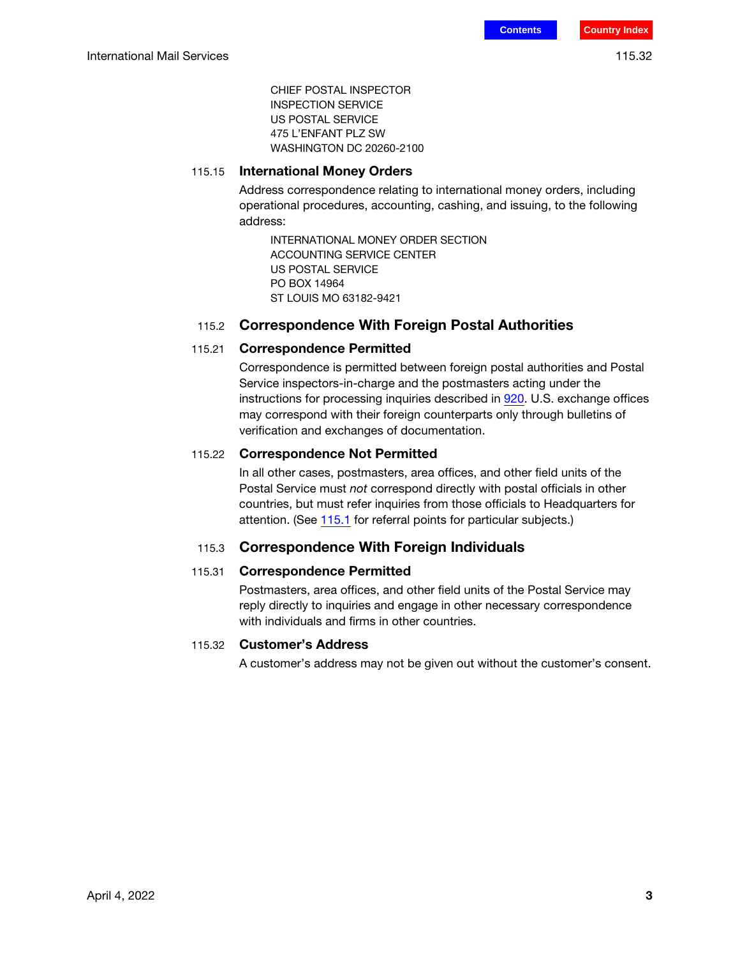CHIEF POSTAL INSPECTOR INSPECTION SERVICE US POSTAL SERVICE 475 L'ENFANT PLZ SW WASHINGTON DC 20260-2100

#### 115.15 International Money Orders

Address correspondence relating to international money orders, including operational procedures, accounting, cashing, and issuing, to the following address:

INTERNATIONAL MONEY ORDER SECTION ACCOUNTING SERVICE CENTER US POSTAL SERVICE PO BOX 14964 ST LOUIS MO 63182-9421

#### 115.2 Correspondence With Foreign Postal Authorities

#### 115.21 Correspondence Permitted

Correspondence is permitted between foreign postal authorities and Postal Service inspectors-in-charge and the postmasters acting under the instructions for processing inquiries described in 920. U.S. exchange offices may correspond with their foreign counterparts only through bulletins of verification and exchanges of documentation.

#### 115.22 Correspondence Not Permitted

In all other cases, postmasters, area offices, and other field units of the Postal Service must not correspond directly with postal officials in other countries, but must refer inquiries from those officials to Headquarters for attention. (See [115.1](#page-0-0) for referral points for particular subjects.)

#### 115.3 Correspondence With Foreign Individuals

#### 115.31 Correspondence Permitted

Postmasters, area offices, and other field units of the Postal Service may reply directly to inquiries and engage in other necessary correspondence with individuals and firms in other countries.

#### 115.32 Customer's Address

A customer's address may not be given out without the customer's consent.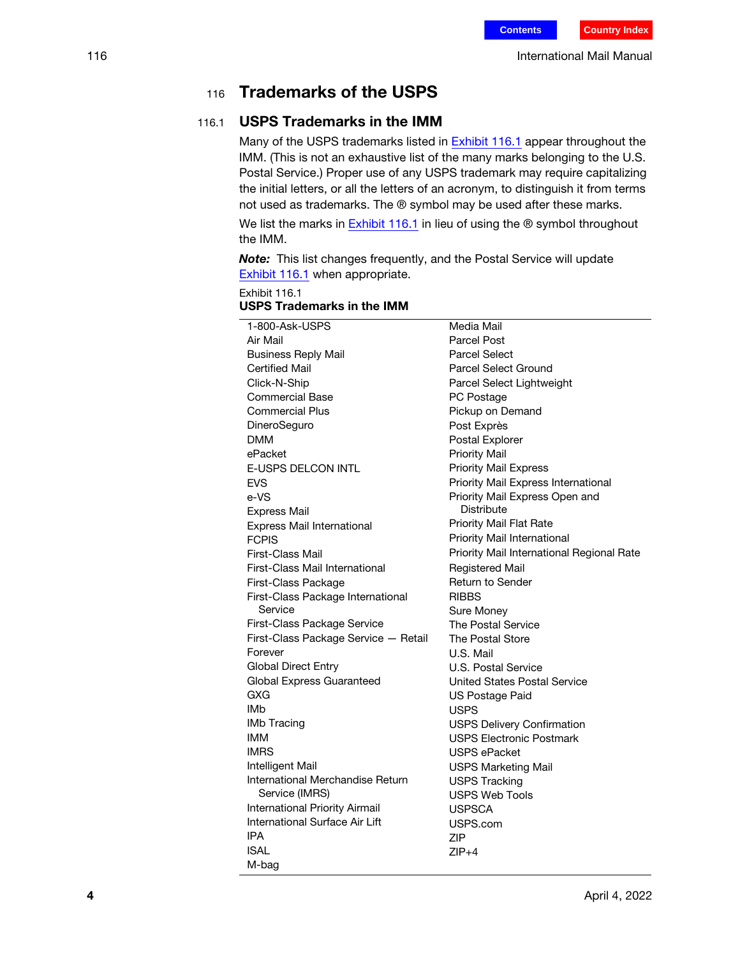## <sup>116</sup> Trademarks of the USPS

## 116.1 USPS Trademarks in the IMM

Many of the USPS trademarks listed in [Exhibit 116.1](#page-3-0) appear throughout the IMM. (This is not an exhaustive list of the many marks belonging to the U.S. Postal Service.) Proper use of any USPS trademark may require capitalizing the initial letters, or all the letters of an acronym, to distinguish it from terms not used as trademarks. The ® symbol may be used after these marks.

We list the marks in  $E$ xhibit 116.1 in lieu of using the  $\circledR$  symbol throughout the IMM.

Note: This list changes frequently, and the Postal Service will update [Exhibit 116.1](#page-3-0) when appropriate.

<span id="page-3-0"></span>Exhibit 116.1

#### USPS Trademarks in the IMM

| 1-800-Ask-USPS                        | Media Mail                                |
|---------------------------------------|-------------------------------------------|
| Air Mail                              | <b>Parcel Post</b>                        |
| <b>Business Reply Mail</b>            | <b>Parcel Select</b>                      |
| <b>Certified Mail</b>                 | <b>Parcel Select Ground</b>               |
| Click-N-Ship                          | Parcel Select Lightweight                 |
| <b>Commercial Base</b>                | PC Postage                                |
| <b>Commercial Plus</b>                | Pickup on Demand                          |
| DineroSeguro                          | Post Exprès                               |
| <b>DMM</b>                            | Postal Explorer                           |
| ePacket                               | <b>Priority Mail</b>                      |
| <b>E-USPS DELCON INTL</b>             | <b>Priority Mail Express</b>              |
| <b>EVS</b>                            | Priority Mail Express International       |
| e-VS                                  | Priority Mail Express Open and            |
| <b>Express Mail</b>                   | <b>Distribute</b>                         |
| Express Mail International            | Priority Mail Flat Rate                   |
| <b>FCPIS</b>                          | Priority Mail International               |
| First-Class Mail                      | Priority Mail International Regional Rate |
| First-Class Mail International        | Registered Mail                           |
| First-Class Package                   | <b>Return to Sender</b>                   |
| First-Class Package International     | <b>RIBBS</b>                              |
| Service                               | Sure Money                                |
| First-Class Package Service           | <b>The Postal Service</b>                 |
| First-Class Package Service - Retail  | The Postal Store                          |
| Forever                               | U.S. Mail                                 |
| <b>Global Direct Entry</b>            | U.S. Postal Service                       |
| Global Express Guaranteed             | United States Postal Service              |
| GXG                                   | US Postage Paid                           |
| IMb                                   | <b>USPS</b>                               |
| <b>IMb Tracing</b>                    | <b>USPS Delivery Confirmation</b>         |
| IMM                                   | <b>USPS Electronic Postmark</b>           |
| <b>IMRS</b>                           | <b>USPS ePacket</b>                       |
| Intelligent Mail                      | <b>USPS Marketing Mail</b>                |
| International Merchandise Return      | <b>USPS Tracking</b>                      |
| Service (IMRS)                        | <b>USPS Web Tools</b>                     |
| <b>International Priority Airmail</b> | <b>USPSCA</b>                             |
| International Surface Air Lift        | USPS.com                                  |
| IPA                                   | ZIP                                       |
| <b>ISAL</b>                           | $ZIP+4$                                   |
| M-bag                                 |                                           |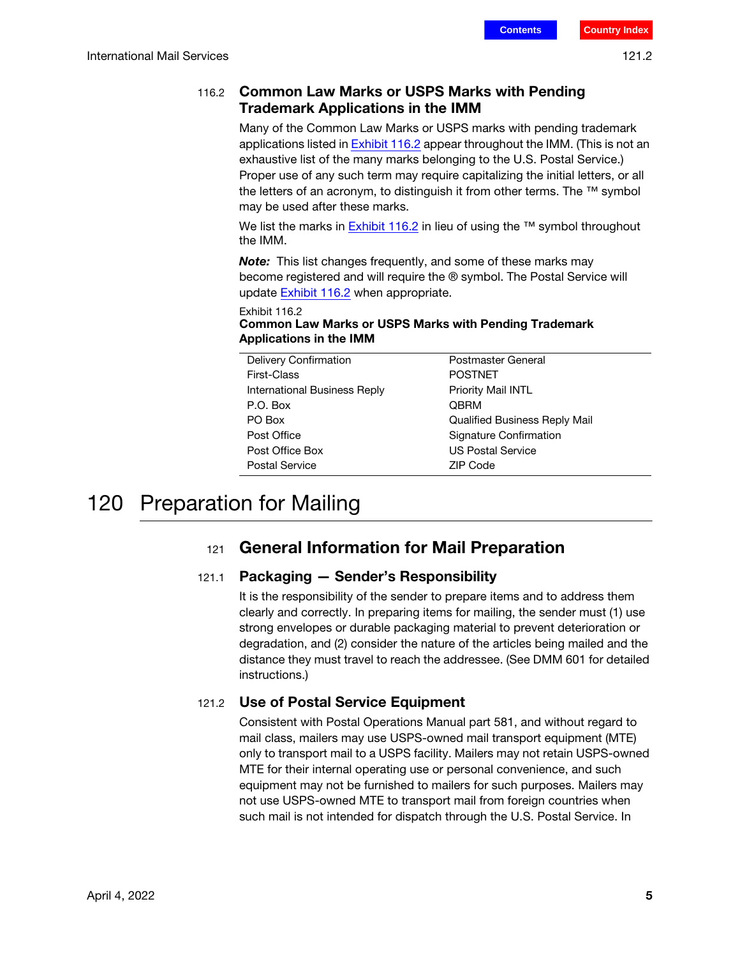## 116.2 Common Law Marks or USPS Marks with Pending Trademark Applications in the IMM

Many of the Common Law Marks or USPS marks with pending trademark applications listed in **Exhibit 116.2** appear throughout the IMM. (This is not an exhaustive list of the many marks belonging to the U.S. Postal Service.) Proper use of any such term may require capitalizing the initial letters, or all the letters of an acronym, to distinguish it from other terms. The <sup>™</sup> symbol may be used after these marks.

We list the marks in [Exhibit 116.2](#page-4-0) in lieu of using the ™ symbol throughout the IMM.

**Note:** This list changes frequently, and some of these marks may become registered and will require the ® symbol. The Postal Service will update **Exhibit 116.2** when appropriate.

#### <span id="page-4-0"></span>Exhibit 116.2 Common Law Marks or USPS Marks with Pending Trademark Applications in the IMM

| Delivery Confirmation        | Postmaster General                   |
|------------------------------|--------------------------------------|
| First-Class                  | <b>POSTNET</b>                       |
| International Business Reply | Priority Mail INTL                   |
| P.O. Box                     | <b>OBRM</b>                          |
| PO Box                       | <b>Qualified Business Reply Mail</b> |
| Post Office                  | Signature Confirmation               |
| Post Office Box              | <b>US Postal Service</b>             |
| <b>Postal Service</b>        | ZIP Code                             |

## 120 Preparation for Mailing

## 121 General Information for Mail Preparation

## 121.1 Packaging — Sender's Responsibility

It is the responsibility of the sender to prepare items and to address them clearly and correctly. In preparing items for mailing, the sender must (1) use strong envelopes or durable packaging material to prevent deterioration or degradation, and (2) consider the nature of the articles being mailed and the distance they must travel to reach the addressee. (See DMM 601 for detailed instructions.)

## 121.2 Use of Postal Service Equipment

Consistent with Postal Operations Manual part 581, and without regard to mail class, mailers may use USPS-owned mail transport equipment (MTE) only to transport mail to a USPS facility. Mailers may not retain USPS-owned MTE for their internal operating use or personal convenience, and such equipment may not be furnished to mailers for such purposes. Mailers may not use USPS-owned MTE to transport mail from foreign countries when such mail is not intended for dispatch through the U.S. Postal Service. In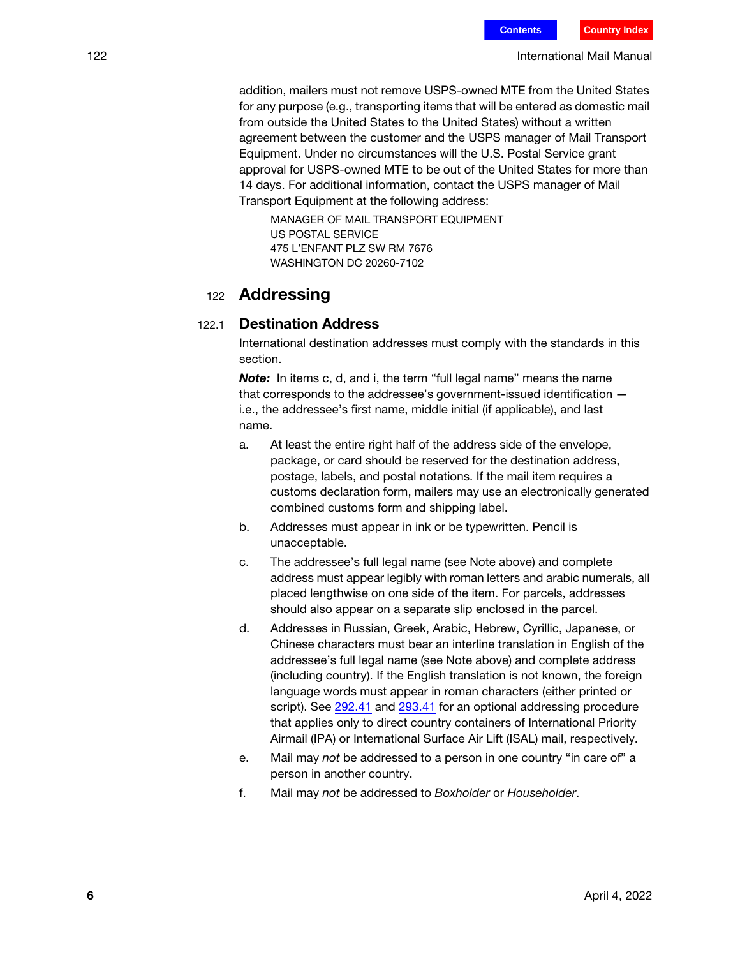addition, mailers must not remove USPS-owned MTE from the United States for any purpose (e.g., transporting items that will be entered as domestic mail from outside the United States to the United States) without a written agreement between the customer and the USPS manager of Mail Transport Equipment. Under no circumstances will the U.S. Postal Service grant approval for USPS-owned MTE to be out of the United States for more than 14 days. For additional information, contact the USPS manager of Mail Transport Equipment at the following address:

MANAGER OF MAIL TRANSPORT EQUIPMENT US POSTAL SERVICE 475 L'ENFANT PLZ SW RM 7676 WASHINGTON DC 20260-7102

## <sup>122</sup> Addressing

#### <span id="page-5-0"></span>122.1 Destination Address

International destination addresses must comply with the standards in this section.

Note: In items c, d, and i, the term "full legal name" means the name that corresponds to the addressee's government-issued identification i.e., the addressee's first name, middle initial (if applicable), and last name.

- a. At least the entire right half of the address side of the envelope, package, or card should be reserved for the destination address, postage, labels, and postal notations. If the mail item requires a customs declaration form, mailers may use an electronically generated combined customs form and shipping label.
- b. Addresses must appear in ink or be typewritten. Pencil is unacceptable.
- c. The addressee's full legal name (see Note above) and complete address must appear legibly with roman letters and arabic numerals, all placed lengthwise on one side of the item. For parcels, addresses should also appear on a separate slip enclosed in the parcel.
- d. Addresses in Russian, Greek, Arabic, Hebrew, Cyrillic, Japanese, or Chinese characters must bear an interline translation in English of the addressee's full legal name (see Note above) and complete address (including country). If the English translation is not known, the foreign language words must appear in roman characters (either printed or script). See 292.41 and 293.41 for an optional addressing procedure that applies only to direct country containers of International Priority Airmail (IPA) or International Surface Air Lift (ISAL) mail, respectively.
- e. Mail may not be addressed to a person in one country "in care of" a person in another country.
- f. Mail may not be addressed to Boxholder or Householder.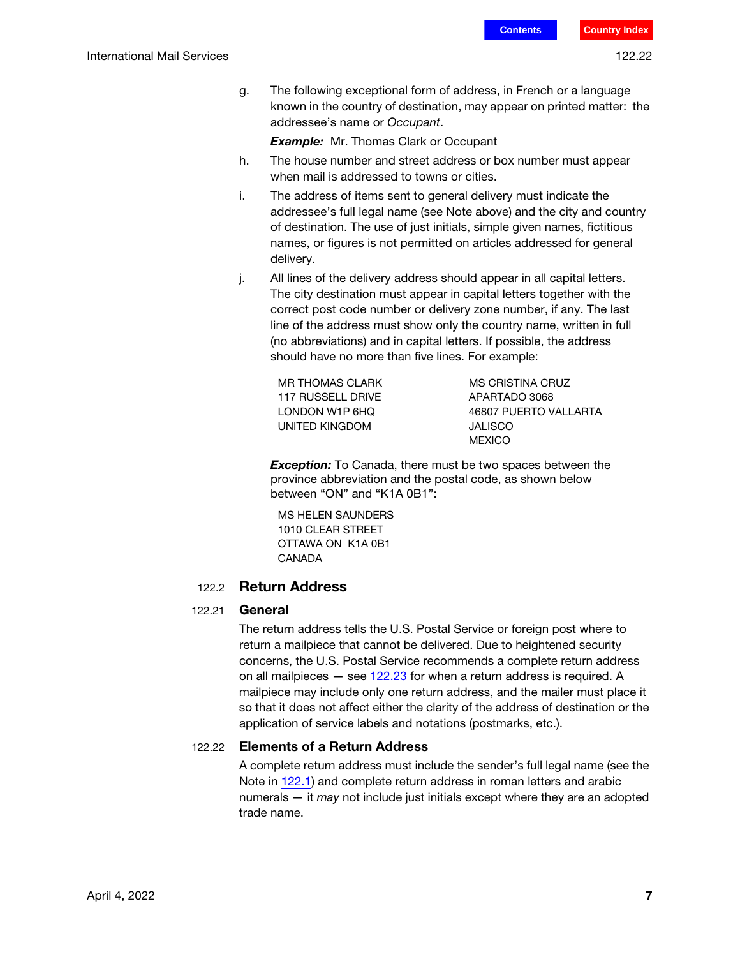g. The following exceptional form of address, in French or a language known in the country of destination, may appear on printed matter: the addressee's name or Occupant.

**Example:** Mr. Thomas Clark or Occupant

- h. The house number and street address or box number must appear when mail is addressed to towns or cities.
- i. The address of items sent to general delivery must indicate the addressee's full legal name (see Note above) and the city and country of destination. The use of just initials, simple given names, fictitious names, or figures is not permitted on articles addressed for general delivery.
- j. All lines of the delivery address should appear in all capital letters. The city destination must appear in capital letters together with the correct post code number or delivery zone number, if any. The last line of the address must show only the country name, written in full (no abbreviations) and in capital letters. If possible, the address should have no more than five lines. For example:

MR THOMAS CLARK 117 RUSSELL DRIVE LONDON W1P 6HQ UNITED KINGDOM

MS CRISTINA CRUZ APARTADO 3068 46807 PUERTO VALLARTA JALISCO **MEXICO** 

**Exception:** To Canada, there must be two spaces between the province abbreviation and the postal code, as shown below between "ON" and "K1A 0B1":

MS HELEN SAUNDERS 1010 CLEAR STREET OTTAWA ON K1A 0B1 CANADA

#### 122.2 Return Address

#### 122.21 General

The return address tells the U.S. Postal Service or foreign post where to return a mailpiece that cannot be delivered. Due to heightened security concerns, the U.S. Postal Service recommends a complete return address on all mailpieces  $-$  see [122.23](#page-7-0) for when a return address is required. A mailpiece may include only one return address, and the mailer must place it so that it does not affect either the clarity of the address of destination or the application of service labels and notations (postmarks, etc.).

#### 122.22 Elements of a Return Address

A complete return address must include the sender's full legal name (see the Note in [122.1\)](#page-5-0) and complete return address in roman letters and arabic numerals — it may not include just initials except where they are an adopted trade name.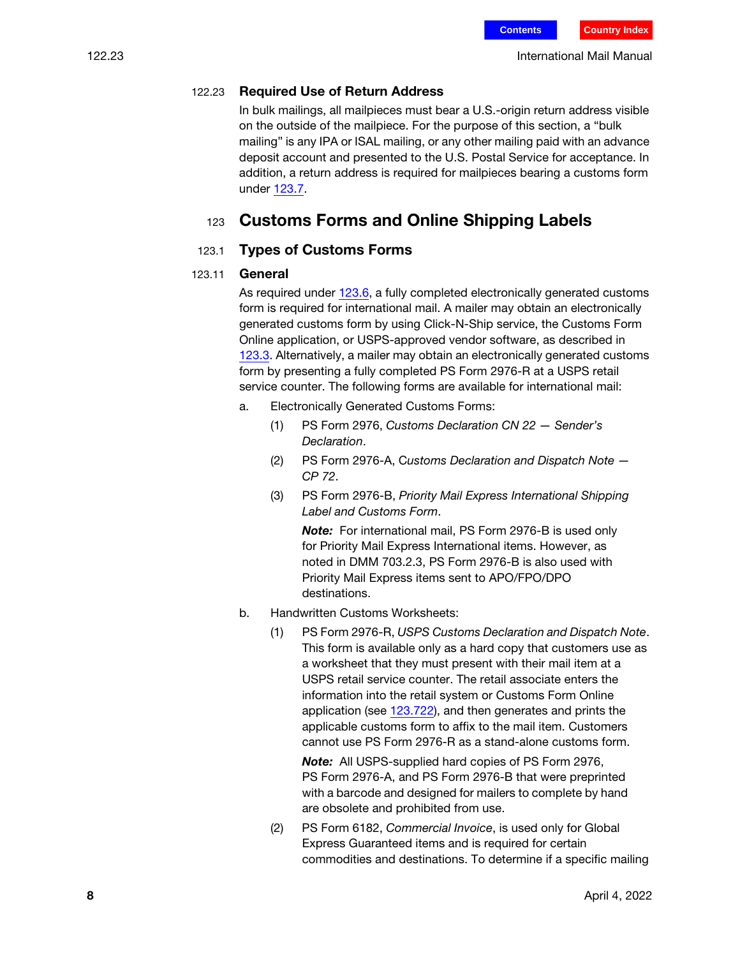#### <span id="page-7-0"></span>122.23 Required Use of Return Address

In bulk mailings, all mailpieces must bear a U.S.-origin return address visible on the outside of the mailpiece. For the purpose of this section, a "bulk mailing" is any IPA or ISAL mailing, or any other mailing paid with an advance deposit account and presented to the U.S. Postal Service for acceptance. In addition, a return address is required for mailpieces bearing a customs form under [123.7.](#page-15-0)

## 123 Customs Forms and Online Shipping Labels

#### 123.1 Types of Customs Forms

#### <span id="page-7-1"></span>123.11 General

As required under [123.6](#page-10-0), a fully completed electronically generated customs form is required for international mail. A mailer may obtain an electronically generated customs form by using Click-N-Ship service, the Customs Form Online application, or USPS-approved vendor software, as described in [123.3](#page-9-0). Alternatively, a mailer may obtain an electronically generated customs form by presenting a fully completed PS Form 2976-R at a USPS retail service counter. The following forms are available for international mail:

- a. Electronically Generated Customs Forms:
	- (1) PS Form 2976, Customs Declaration CN 22 Sender's Declaration.
	- (2) PS Form 2976-A, Customs Declaration and Dispatch Note CP 72.
	- (3) PS Form 2976-B, Priority Mail Express International Shipping Label and Customs Form.

Note: For international mail, PS Form 2976-B is used only for Priority Mail Express International items. However, as noted in DMM 703.2.3, PS Form 2976-B is also used with Priority Mail Express items sent to APO/FPO/DPO destinations.

- b. Handwritten Customs Worksheets:
	- (1) PS Form 2976-R, USPS Customs Declaration and Dispatch Note. This form is available only as a hard copy that customers use as a worksheet that they must present with their mail item at a USPS retail service counter. The retail associate enters the information into the retail system or Customs Form Online application (see [123.722](#page-17-0)), and then generates and prints the applicable customs form to affix to the mail item. Customers cannot use PS Form 2976-R as a stand-alone customs form.

Note: All USPS-supplied hard copies of PS Form 2976, PS Form 2976-A, and PS Form 2976-B that were preprinted with a barcode and designed for mailers to complete by hand are obsolete and prohibited from use.

(2) PS Form 6182, Commercial Invoice, is used only for Global Express Guaranteed items and is required for certain commodities and destinations. To determine if a specific mailing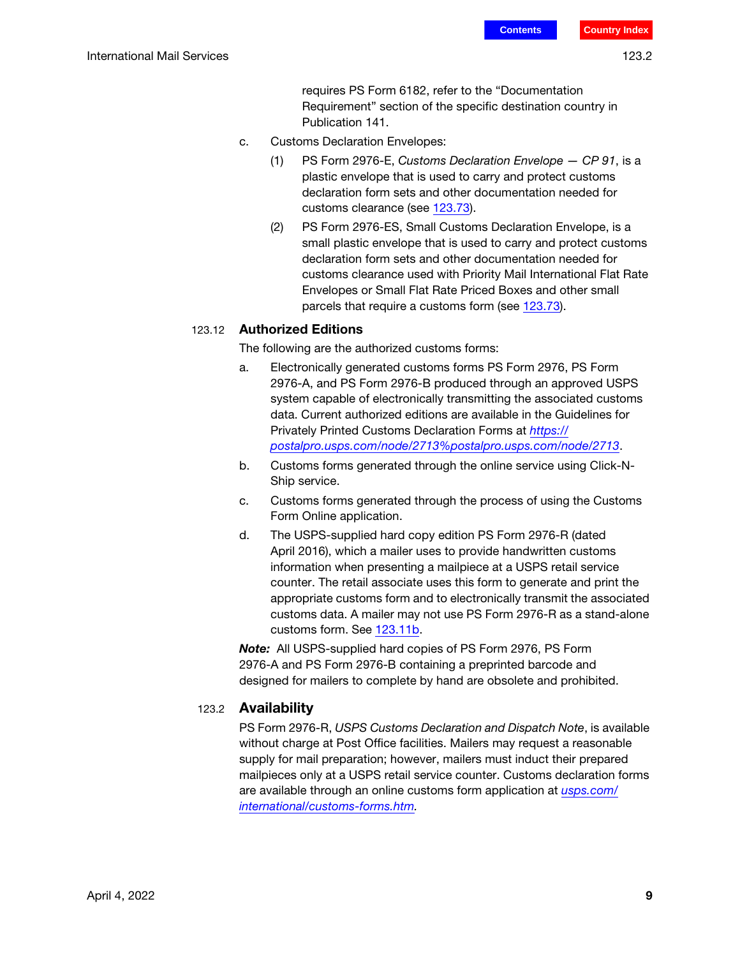requires PS Form 6182, refer to the "Documentation Requirement" section of the specific destination country in Publication 141.

- c. Customs Declaration Envelopes:
	- (1) PS Form 2976-E, Customs Declaration Envelope CP 91, is a plastic envelope that is used to carry and protect customs declaration form sets and other documentation needed for customs clearance (see [123.73\)](#page-18-0).
	- (2) PS Form 2976-ES, Small Customs Declaration Envelope, is a small plastic envelope that is used to carry and protect customs declaration form sets and other documentation needed for customs clearance used with Priority Mail International Flat Rate Envelopes or Small Flat Rate Priced Boxes and other small parcels that require a customs form (see [123.73](#page-18-0)).

#### 123.12 Authorized Editions

The following are the authorized customs forms:

- a. Electronically generated customs forms PS Form 2976, PS Form 2976-A, and PS Form 2976-B produced through an approved USPS system capable of electronically transmitting the associated customs data. Current authorized editions are available in the Guidelines for Privately Printed Customs Declaration Forms at [https://](https://postalpro.usps.com/node/2713 postalpro.usps.com/node/2713) [postalpro.usps.com/node/2713%postalpro.usps.com/node/2713](https://postalpro.usps.com/node/2713 postalpro.usps.com/node/2713).
- <span id="page-8-0"></span>b. Customs forms generated through the online service using Click-N-Ship service.
- c. Customs forms generated through the process of using the Customs Form Online application.
- d. The USPS-supplied hard copy edition PS Form 2976-R (dated April 2016), which a mailer uses to provide handwritten customs information when presenting a mailpiece at a USPS retail service counter. The retail associate uses this form to generate and print the appropriate customs form and to electronically transmit the associated customs data. A mailer may not use PS Form 2976-R as a stand-alone customs form. See [123.11](#page-7-1)[b](#page-8-0).

Note: All USPS-supplied hard copies of PS Form 2976, PS Form 2976-A and PS Form 2976-B containing a preprinted barcode and designed for mailers to complete by hand are obsolete and prohibited.

#### 123.2 Availability

PS Form 2976-R, USPS Customs Declaration and Dispatch Note, is available without charge at Post Office facilities. Mailers may request a reasonable supply for mail preparation; however, mailers must induct their prepared mailpieces only at a USPS retail service counter. Customs declaration forms are available through an online customs form application at *[usps.com/](https://www.usps.com/international/customs-forms.htm)* [international/customs-forms.htm.](https://www.usps.com/international/customs-forms.htm)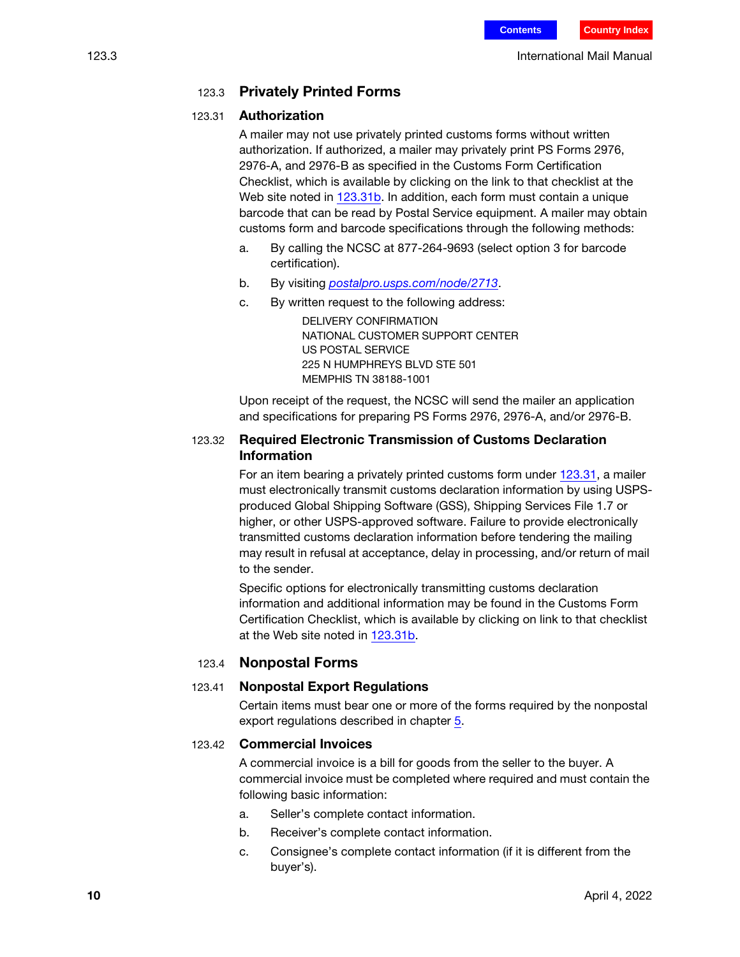## 123.3 Privately Printed Forms

#### <span id="page-9-1"></span><span id="page-9-0"></span>123.31 Authorization

A mailer may not use privately printed customs forms without written authorization. If authorized, a mailer may privately print PS Forms 2976, 2976-A, and 2976-B as specified in the Customs Form Certification Checklist, which is available by clicking on the link to that checklist at the Web site noted in [123.31](#page-9-1)[b](#page-9-2). In addition, each form must contain a unique barcode that can be read by Postal Service equipment. A mailer may obtain customs form and barcode specifications through the following methods:

- a. By calling the NCSC at 877-264-9693 (select option 3 for barcode certification).
- <span id="page-9-2"></span>b. By visiting *[postalpro.usps.com/node/2713](https://postalpro.usps.com/node/2713).*
- c. By written request to the following address:

DELIVERY CONFIRMATION NATIONAL CUSTOMER SUPPORT CENTER US POSTAL SERVICE 225 N HUMPHREYS BLVD STE 501 MEMPHIS TN 38188-1001

Upon receipt of the request, the NCSC will send the mailer an application and specifications for preparing PS Forms 2976, 2976-A, and/or 2976-B.

## 123.32 Required Electronic Transmission of Customs Declaration Information

For an item bearing a privately printed customs form under [123.31,](#page-9-1) a mailer must electronically transmit customs declaration information by using USPSproduced Global Shipping Software (GSS), Shipping Services File 1.7 or higher, or other USPS-approved software. Failure to provide electronically transmitted customs declaration information before tendering the mailing may result in refusal at acceptance, delay in processing, and/or return of mail to the sender.

Specific options for electronically transmitting customs declaration information and additional information may be found in the Customs Form Certification Checklist, which is available by clicking on link to that checklist at the Web site noted in [123.31](#page-9-1)[b.](#page-9-2)

## 123.4 Nonpostal Forms

## 123.41 Nonpostal Export Regulations

Certain items must bear one or more of the forms required by the nonpostal export regulations described in chapter 5.

#### <span id="page-9-3"></span>123.42 Commercial Invoices

A commercial invoice is a bill for goods from the seller to the buyer. A commercial invoice must be completed where required and must contain the following basic information:

- a. Seller's complete contact information.
- b. Receiver's complete contact information.
- c. Consignee's complete contact information (if it is different from the buyer's).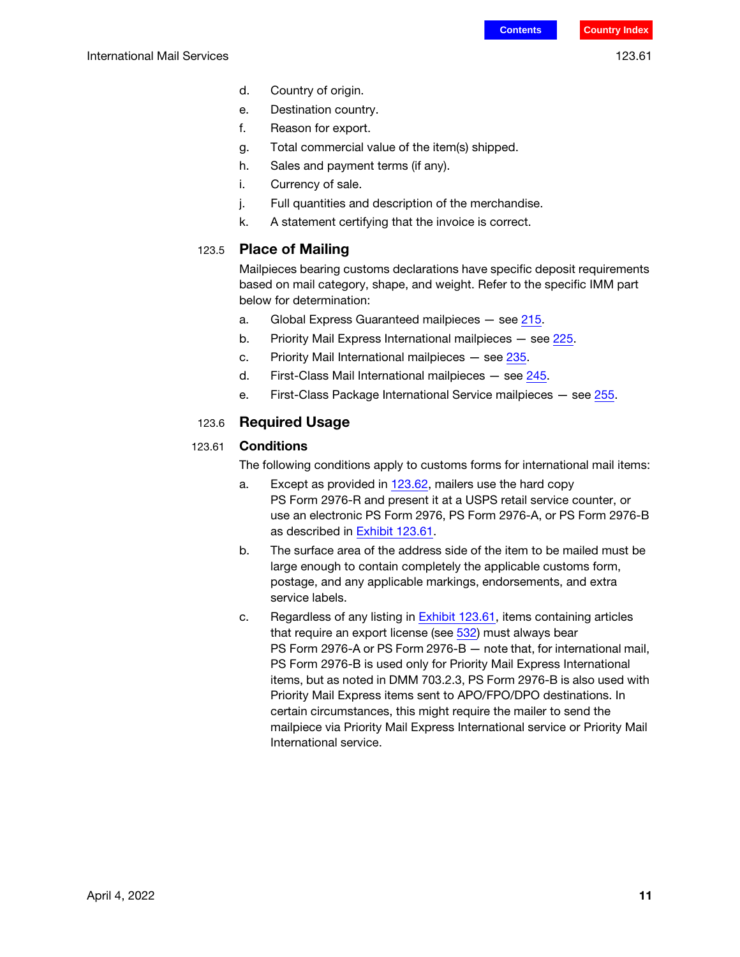- d. Country of origin.
- e. Destination country.
- f. Reason for export.
- g. Total commercial value of the item(s) shipped.
- h. Sales and payment terms (if any).
- i. Currency of sale.
- j. Full quantities and description of the merchandise.
- k. A statement certifying that the invoice is correct.

#### 123.5 Place of Mailing

Mailpieces bearing customs declarations have specific deposit requirements based on mail category, shape, and weight. Refer to the specific IMM part below for determination:

- a. Global Express Guaranteed mailpieces see 215.
- b. Priority Mail Express International mailpieces see 225.
- c. Priority Mail International mailpieces see 235.
- d. First-Class Mail International mailpieces see 245.
- e. First-Class Package International Service mailpieces see 255.

#### 123.6 Required Usage

#### <span id="page-10-1"></span><span id="page-10-0"></span>123.61 Conditions

The following conditions apply to customs forms for international mail items:

- a. Except as provided in  $123.62$ , mailers use the hard copy PS Form 2976-R and present it at a USPS retail service counter, or use an electronic PS Form 2976, PS Form 2976-A, or PS Form 2976-B as described in [Exhibit 123.61.](#page-11-0)
- b. The surface area of the address side of the item to be mailed must be large enough to contain completely the applicable customs form, postage, and any applicable markings, endorsements, and extra service labels.
- c. Regardless of any listing in **[Exhibit 123.61](#page-11-0)**, items containing articles that require an export license (see 532) must always bear PS Form 2976-A or PS Form 2976-B — note that, for international mail, PS Form 2976-B is used only for Priority Mail Express International items, but as noted in DMM 703.2.3, PS Form 2976-B is also used with Priority Mail Express items sent to APO/FPO/DPO destinations. In certain circumstances, this might require the mailer to send the mailpiece via Priority Mail Express International service or Priority Mail International service.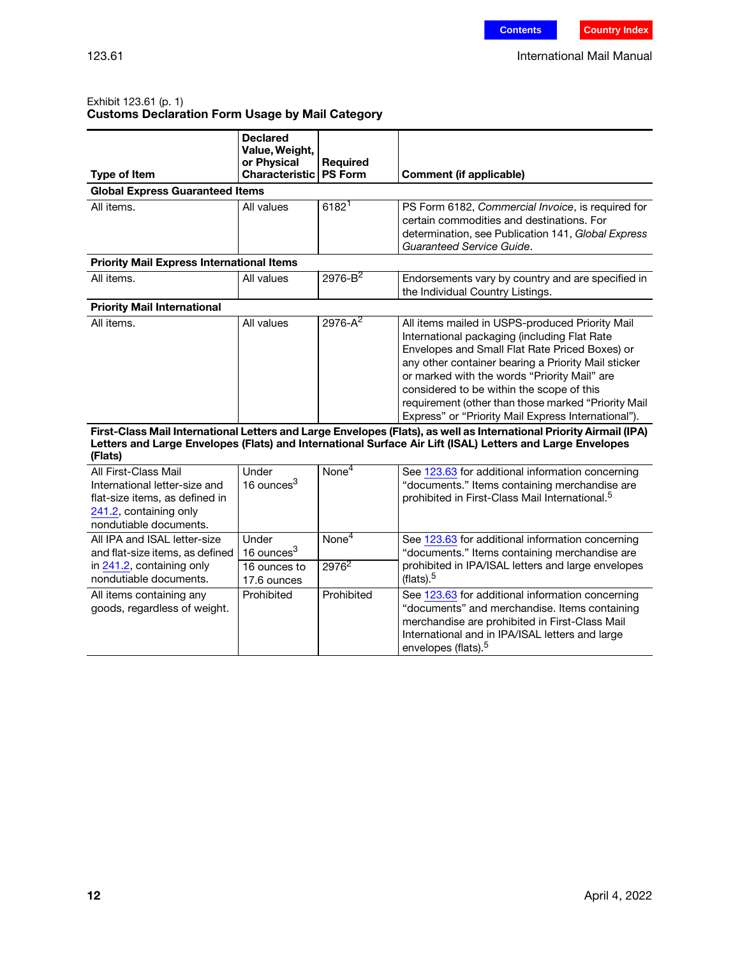#### <span id="page-11-0"></span>Exhibit 123.61 (p. 1) Customs Declaration Form Usage by Mail Category

|                                                                                                                                                        | <b>Declared</b><br>Value, Weight,<br>or Physical               | <b>Required</b>                        |                                                                                                                                                                                                                                                                                                                                                                                                                                                                                                                                                                                                                                                         |
|--------------------------------------------------------------------------------------------------------------------------------------------------------|----------------------------------------------------------------|----------------------------------------|---------------------------------------------------------------------------------------------------------------------------------------------------------------------------------------------------------------------------------------------------------------------------------------------------------------------------------------------------------------------------------------------------------------------------------------------------------------------------------------------------------------------------------------------------------------------------------------------------------------------------------------------------------|
| <b>Type of Item</b>                                                                                                                                    | Characteristic                                                 | PS Form                                | <b>Comment (if applicable)</b>                                                                                                                                                                                                                                                                                                                                                                                                                                                                                                                                                                                                                          |
| <b>Global Express Guaranteed Items</b>                                                                                                                 |                                                                |                                        |                                                                                                                                                                                                                                                                                                                                                                                                                                                                                                                                                                                                                                                         |
| All items.                                                                                                                                             | All values                                                     | 6182 <sup>1</sup>                      | PS Form 6182, Commercial Invoice, is required for<br>certain commodities and destinations. For<br>determination, see Publication 141, Global Express<br>Guaranteed Service Guide.                                                                                                                                                                                                                                                                                                                                                                                                                                                                       |
| <b>Priority Mail Express International Items</b>                                                                                                       |                                                                |                                        |                                                                                                                                                                                                                                                                                                                                                                                                                                                                                                                                                                                                                                                         |
| All items.                                                                                                                                             | All values                                                     | $2976 - B^2$                           | Endorsements vary by country and are specified in<br>the Individual Country Listings.                                                                                                                                                                                                                                                                                                                                                                                                                                                                                                                                                                   |
| <b>Priority Mail International</b>                                                                                                                     |                                                                |                                        |                                                                                                                                                                                                                                                                                                                                                                                                                                                                                                                                                                                                                                                         |
| All items.                                                                                                                                             | All values                                                     | $2976 - A^2$                           | All items mailed in USPS-produced Priority Mail<br>International packaging (including Flat Rate<br>Envelopes and Small Flat Rate Priced Boxes) or<br>any other container bearing a Priority Mail sticker<br>or marked with the words "Priority Mail" are<br>considered to be within the scope of this<br>requirement (other than those marked "Priority Mail<br>Express" or "Priority Mail Express International").<br>First-Class Mail International Letters and Large Envelopes (Flats), as well as International Priority Airmail (IPA)<br>Letters and Large Envelopes (Flats) and International Surface Air Lift (ISAL) Letters and Large Envelopes |
| (Flats)<br>All First-Class Mail<br>International letter-size and<br>flat-size items, as defined in<br>241.2, containing only<br>nondutiable documents. | Under<br>16 ounces <sup>3</sup>                                | None <sup>4</sup>                      | See 123.63 for additional information concerning<br>"documents." Items containing merchandise are<br>prohibited in First-Class Mail International. <sup>5</sup>                                                                                                                                                                                                                                                                                                                                                                                                                                                                                         |
| All IPA and ISAL letter-size<br>and flat-size items, as defined<br>in 241.2, containing only<br>nondutiable documents.                                 | Under<br>16 ounces <sup>3</sup><br>16 ounces to<br>17.6 ounces | $\overline{\text{None}}^4$<br>$2976^2$ | See 123.63 for additional information concerning<br>"documents." Items containing merchandise are<br>prohibited in IPA/ISAL letters and large envelopes<br>(flats). $5$                                                                                                                                                                                                                                                                                                                                                                                                                                                                                 |
| All items containing any<br>goods, regardless of weight.                                                                                               | Prohibited                                                     | Prohibited                             | See 123.63 for additional information concerning<br>"documents" and merchandise. Items containing<br>merchandise are prohibited in First-Class Mail<br>International and in IPA/ISAL letters and large<br>envelopes (flats). <sup>5</sup>                                                                                                                                                                                                                                                                                                                                                                                                               |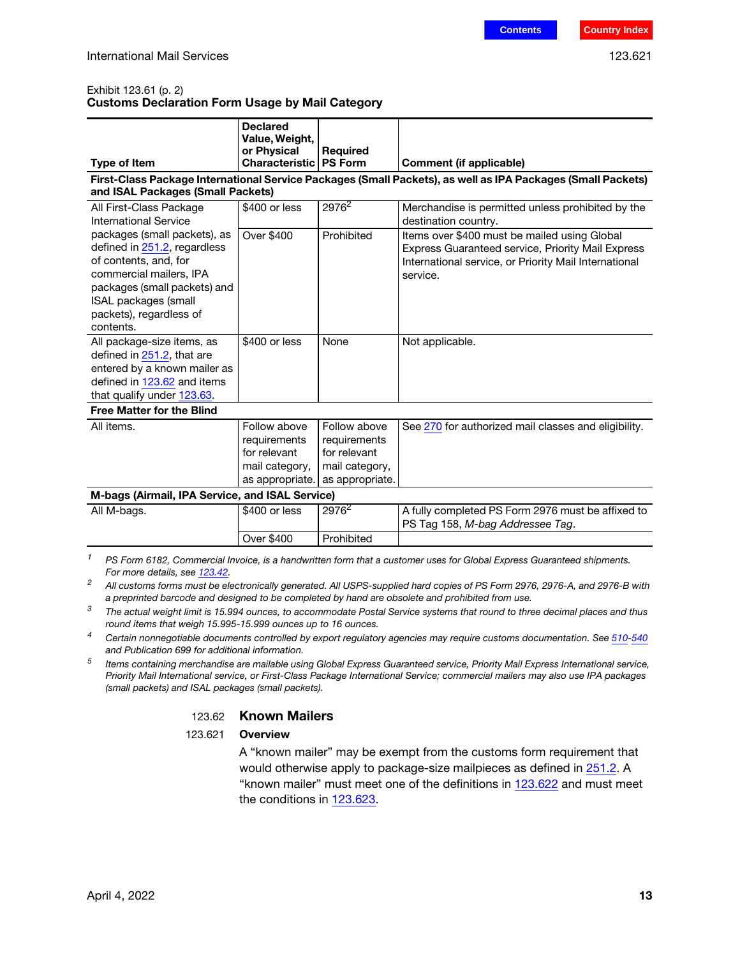#### Exhibit 123.61 (p. 2) Customs Declaration Form Usage by Mail Category

| <b>Type of Item</b>                                                                                                                                                                                                     | <b>Declared</b><br>Value, Weight,<br>or Physical<br><b>Characteristic</b> | <b>Required</b><br><b>PS Form</b>                                                                 | <b>Comment (if applicable)</b>                                                                                                                                         |
|-------------------------------------------------------------------------------------------------------------------------------------------------------------------------------------------------------------------------|---------------------------------------------------------------------------|---------------------------------------------------------------------------------------------------|------------------------------------------------------------------------------------------------------------------------------------------------------------------------|
|                                                                                                                                                                                                                         |                                                                           |                                                                                                   | First-Class Package International Service Packages (Small Packets), as well as IPA Packages (Small Packets)                                                            |
| and ISAL Packages (Small Packets)                                                                                                                                                                                       |                                                                           |                                                                                                   |                                                                                                                                                                        |
| All First-Class Package<br>International Service                                                                                                                                                                        | \$400 or less                                                             | 2976 <sup>2</sup>                                                                                 | Merchandise is permitted unless prohibited by the<br>destination country.                                                                                              |
| packages (small packets), as<br>defined in 251.2, regardless<br>of contents, and, for<br>commercial mailers, IPA<br>packages (small packets) and<br><b>ISAL packages (small</b><br>packets), regardless of<br>contents. | <b>Over \$400</b>                                                         | Prohibited                                                                                        | Items over \$400 must be mailed using Global<br>Express Guaranteed service, Priority Mail Express<br>International service, or Priority Mail International<br>service. |
| All package-size items, as<br>defined in 251.2, that are<br>entered by a known mailer as<br>defined in 123.62 and items<br>that qualify under 123.63.                                                                   | \$400 or less                                                             | None                                                                                              | Not applicable.                                                                                                                                                        |
| <b>Free Matter for the Blind</b>                                                                                                                                                                                        |                                                                           |                                                                                                   |                                                                                                                                                                        |
| All items.                                                                                                                                                                                                              | Follow above<br>requirements<br>for relevant<br>mail category,            | Follow above<br>requirements<br>for relevant<br>mail category,<br>as appropriate. as appropriate. | See 270 for authorized mail classes and eligibility.                                                                                                                   |
| M-bags (Airmail, IPA Service, and ISAL Service)                                                                                                                                                                         |                                                                           |                                                                                                   |                                                                                                                                                                        |
| All M-bags.                                                                                                                                                                                                             | \$400 or less                                                             | $2976^2$                                                                                          | A fully completed PS Form 2976 must be affixed to<br>PS Tag 158, M-bag Addressee Tag.                                                                                  |
|                                                                                                                                                                                                                         | Over \$400                                                                | Prohibited                                                                                        |                                                                                                                                                                        |

 $1^{1}$  PS Form 6182, Commercial Invoice, is a handwritten form that a customer uses for Global Express Guaranteed shipments. For more details, see [123.42.](#page-9-3)

- $3$  The actual weight limit is 15.994 ounces, to accommodate Postal Service systems that round to three decimal places and thus round items that weigh 15.995-15.999 ounces up to 16 ounces.
- <sup>4</sup> Certain nonnegotiable documents controlled by export regulatory agencies may require customs documentation. See 510-540 and Publication 699 for additional information.
- <span id="page-12-0"></span> $5$  Items containing merchandise are mailable using Global Express Guaranteed service, Priority Mail Express International service, Priority Mail International service, or First-Class Package International Service; commercial mailers may also use IPA packages (small packets) and ISAL packages (small packets).

#### 123.62 Known Mailers

#### 123.621 Overview

A "known mailer" may be exempt from the customs form requirement that would otherwise apply to package-size mailpieces as defined in 251.2. A "known mailer" must meet one of the definitions in [123.622](#page-13-0) and must meet the conditions in [123.623.](#page-13-1)

<sup>&</sup>lt;sup>2</sup> All customs forms must be electronically generated. All USPS-supplied hard copies of PS Form 2976, 2976-A, and 2976-B with a preprinted barcode and designed to be completed by hand are obsolete and prohibited from use.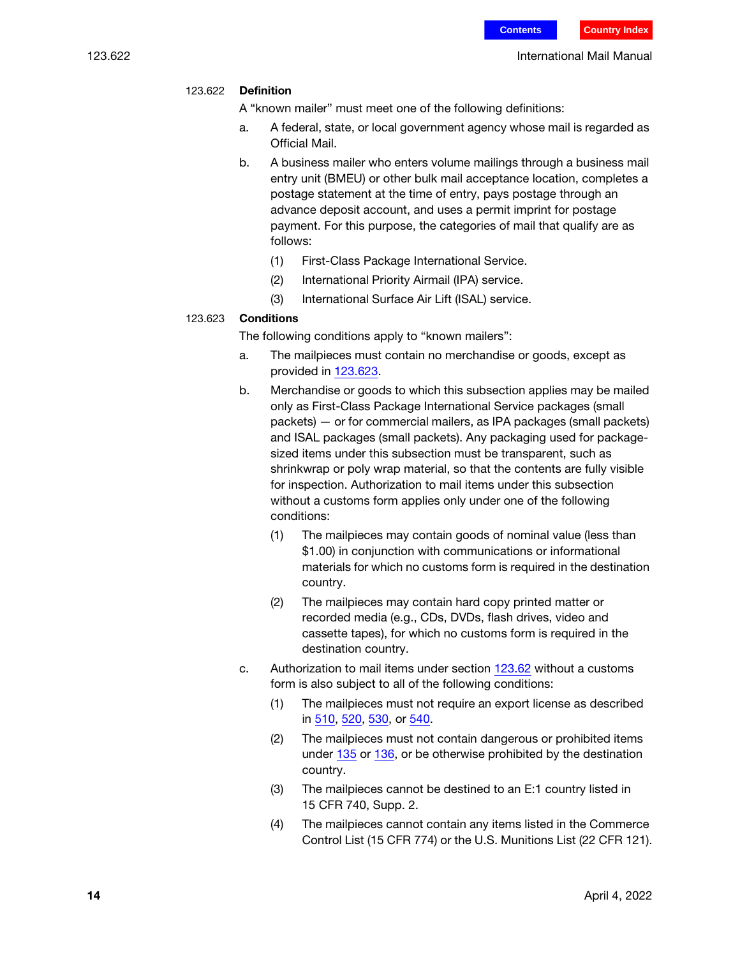#### <span id="page-13-0"></span>123.622 Definition

A "known mailer" must meet one of the following definitions:

- a. A federal, state, or local government agency whose mail is regarded as Official Mail.
- b. A business mailer who enters volume mailings through a business mail entry unit (BMEU) or other bulk mail acceptance location, completes a postage statement at the time of entry, pays postage through an advance deposit account, and uses a permit imprint for postage payment. For this purpose, the categories of mail that qualify are as follows:
	- (1) First-Class Package International Service.
	- (2) International Priority Airmail (IPA) service.
	- (3) International Surface Air Lift (ISAL) service.

#### <span id="page-13-1"></span>123.623 Conditions

The following conditions apply to "known mailers":

- a. The mailpieces must contain no merchandise or goods, except as provided in [123.623.](#page-13-1)
- b. Merchandise or goods to which this subsection applies may be mailed only as First-Class Package International Service packages (small packets) — or for commercial mailers, as IPA packages (small packets) and ISAL packages (small packets). Any packaging used for packagesized items under this subsection must be transparent, such as shrinkwrap or poly wrap material, so that the contents are fully visible for inspection. Authorization to mail items under this subsection without a customs form applies only under one of the following conditions:
	- (1) The mailpieces may contain goods of nominal value (less than \$1.00) in conjunction with communications or informational materials for which no customs form is required in the destination country.
	- (2) The mailpieces may contain hard copy printed matter or recorded media (e.g., CDs, DVDs, flash drives, video and cassette tapes), for which no customs form is required in the destination country.
- c. Authorization to mail items under section [123.62](#page-12-0) without a customs form is also subject to all of the following conditions:
	- (1) The mailpieces must not require an export license as described in 510, 520, 530, or 540.
	- (2) The mailpieces must not contain dangerous or prohibited items under [135](#page-22-0) or [136](#page-27-0), or be otherwise prohibited by the destination country.
	- (3) The mailpieces cannot be destined to an E:1 country listed in 15 CFR 740, Supp. 2.
	- (4) The mailpieces cannot contain any items listed in the Commerce Control List (15 CFR 774) or the U.S. Munitions List (22 CFR 121).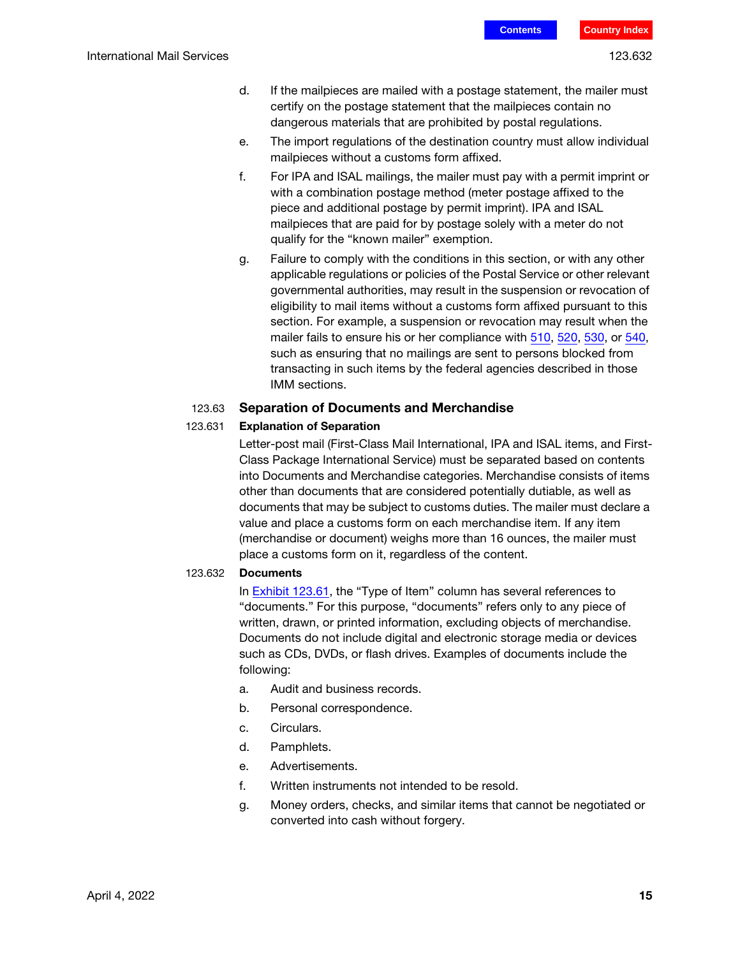- d. If the mailpieces are mailed with a postage statement, the mailer must certify on the postage statement that the mailpieces contain no dangerous materials that are prohibited by postal regulations.
- e. The import regulations of the destination country must allow individual mailpieces without a customs form affixed.
- f. For IPA and ISAL mailings, the mailer must pay with a permit imprint or with a combination postage method (meter postage affixed to the piece and additional postage by permit imprint). IPA and ISAL mailpieces that are paid for by postage solely with a meter do not qualify for the "known mailer" exemption.
- g. Failure to comply with the conditions in this section, or with any other applicable regulations or policies of the Postal Service or other relevant governmental authorities, may result in the suspension or revocation of eligibility to mail items without a customs form affixed pursuant to this section. For example, a suspension or revocation may result when the mailer fails to ensure his or her compliance with 510, 520, 530, or 540, such as ensuring that no mailings are sent to persons blocked from transacting in such items by the federal agencies described in those IMM sections.

#### <span id="page-14-0"></span>123.63 Separation of Documents and Merchandise

#### 123.631 Explanation of Separation

Letter-post mail (First-Class Mail International, IPA and ISAL items, and First-Class Package International Service) must be separated based on contents into Documents and Merchandise categories. Merchandise consists of items other than documents that are considered potentially dutiable, as well as documents that may be subject to customs duties. The mailer must declare a value and place a customs form on each merchandise item. If any item (merchandise or document) weighs more than 16 ounces, the mailer must place a customs form on it, regardless of the content.

#### 123.632 Documents

In [Exhibit 123.61,](#page-11-0) the "Type of Item" column has several references to "documents." For this purpose, "documents" refers only to any piece of written, drawn, or printed information, excluding objects of merchandise. Documents do not include digital and electronic storage media or devices such as CDs, DVDs, or flash drives. Examples of documents include the following:

- a. Audit and business records.
- b. Personal correspondence.
- c. Circulars.
- d. Pamphlets.
- e. Advertisements.
- f. Written instruments not intended to be resold.
- g. Money orders, checks, and similar items that cannot be negotiated or converted into cash without forgery.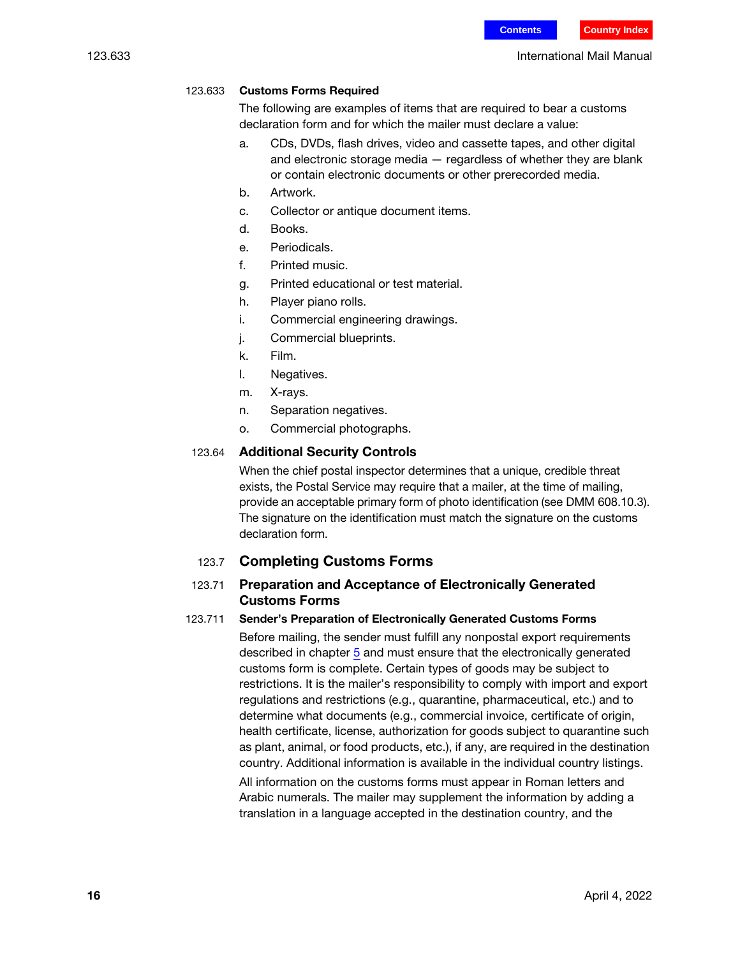#### 123.633 International Mail Manual

#### 123.633 Customs Forms Required

The following are examples of items that are required to bear a customs declaration form and for which the mailer must declare a value:

- a. CDs, DVDs, flash drives, video and cassette tapes, and other digital and electronic storage media — regardless of whether they are blank or contain electronic documents or other prerecorded media.
- b. Artwork.
- c. Collector or antique document items.
- d. Books.
- e. Periodicals.
- f. Printed music.
- g. Printed educational or test material.
- h. Player piano rolls.
- i. Commercial engineering drawings.
- j. Commercial blueprints.
- k. Film.
- l. Negatives.
- m. X-rays.
- n. Separation negatives.
- o. Commercial photographs.

#### 123.64 Additional Security Controls

When the chief postal inspector determines that a unique, credible threat exists, the Postal Service may require that a mailer, at the time of mailing, provide an acceptable primary form of photo identification (see DMM 608.10.3). The signature on the identification must match the signature on the customs declaration form.

#### 123.7 Completing Customs Forms

#### <span id="page-15-0"></span>123.71 Preparation and Acceptance of Electronically Generated Customs Forms

#### <span id="page-15-1"></span>123.711 Sender's Preparation of Electronically Generated Customs Forms

Before mailing, the sender must fulfill any nonpostal export requirements described in chapter 5 and must ensure that the electronically generated customs form is complete. Certain types of goods may be subject to restrictions. It is the mailer's responsibility to comply with import and export regulations and restrictions (e.g., quarantine, pharmaceutical, etc.) and to determine what documents (e.g., commercial invoice, certificate of origin, health certificate, license, authorization for goods subject to quarantine such as plant, animal, or food products, etc.), if any, are required in the destination country. Additional information is available in the individual country listings.

All information on the customs forms must appear in Roman letters and Arabic numerals. The mailer may supplement the information by adding a translation in a language accepted in the destination country, and the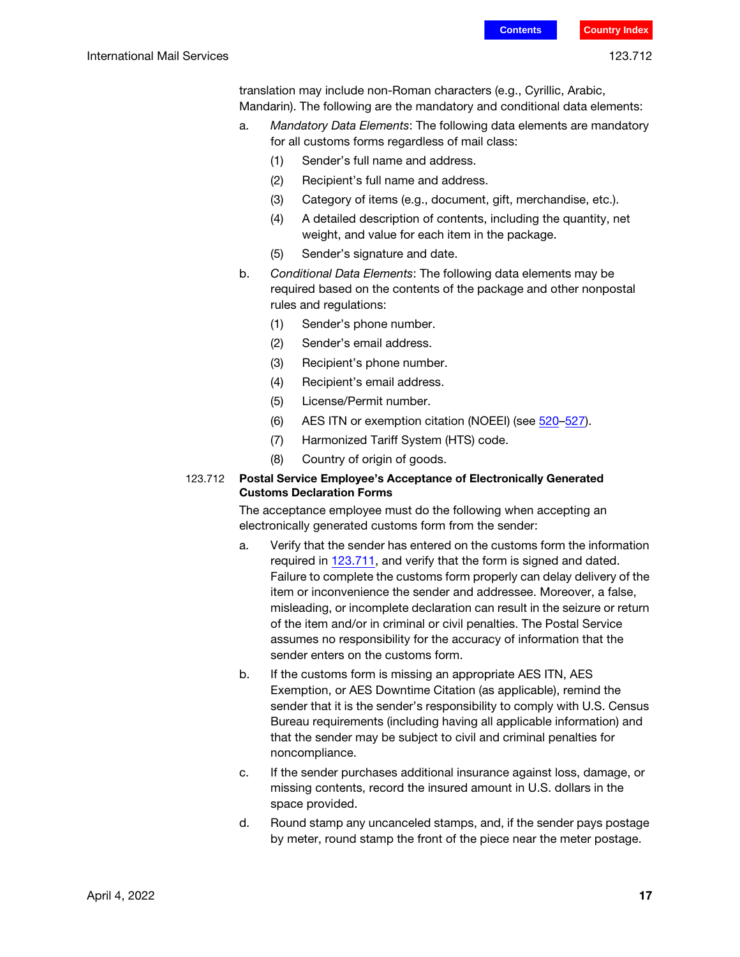translation may include non-Roman characters (e.g., Cyrillic, Arabic, Mandarin). The following are the mandatory and conditional data elements:

- a. Mandatory Data Elements: The following data elements are mandatory for all customs forms regardless of mail class:
	- (1) Sender's full name and address.
	- (2) Recipient's full name and address.
	- (3) Category of items (e.g., document, gift, merchandise, etc.).
	- (4) A detailed description of contents, including the quantity, net weight, and value for each item in the package.
	- (5) Sender's signature and date.
- b. Conditional Data Elements: The following data elements may be required based on the contents of the package and other nonpostal rules and regulations:
	- (1) Sender's phone number.
	- (2) Sender's email address.
	- (3) Recipient's phone number.
	- (4) Recipient's email address.
	- (5) License/Permit number.
	- (6) AES ITN or exemption citation (NOEEI) (see 520–527).
	- (7) Harmonized Tariff System (HTS) code.
	- (8) Country of origin of goods.

#### 123.712 Postal Service Employee's Acceptance of Electronically Generated Customs Declaration Forms

The acceptance employee must do the following when accepting an electronically generated customs form from the sender:

- a. Verify that the sender has entered on the customs form the information required in [123.711](#page-15-1), and verify that the form is signed and dated. Failure to complete the customs form properly can delay delivery of the item or inconvenience the sender and addressee. Moreover, a false, misleading, or incomplete declaration can result in the seizure or return of the item and/or in criminal or civil penalties. The Postal Service assumes no responsibility for the accuracy of information that the sender enters on the customs form.
- b. If the customs form is missing an appropriate AES ITN, AES Exemption, or AES Downtime Citation (as applicable), remind the sender that it is the sender's responsibility to comply with U.S. Census Bureau requirements (including having all applicable information) and that the sender may be subject to civil and criminal penalties for noncompliance.
- c. If the sender purchases additional insurance against loss, damage, or missing contents, record the insured amount in U.S. dollars in the space provided.
- d. Round stamp any uncanceled stamps, and, if the sender pays postage by meter, round stamp the front of the piece near the meter postage.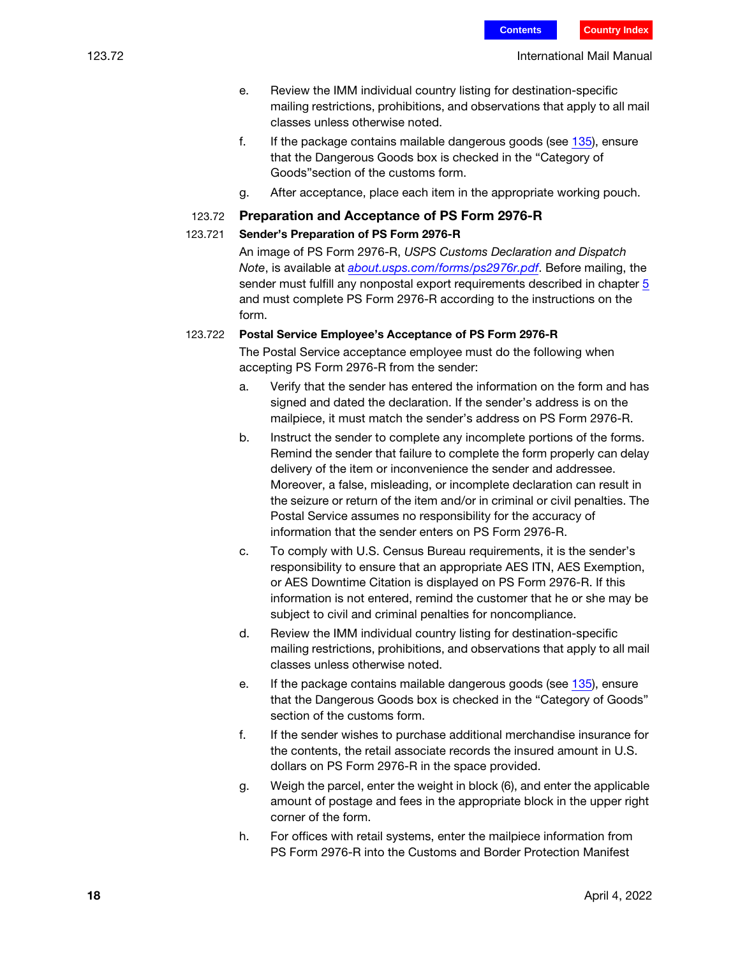- e. Review the IMM individual country listing for destination-specific mailing restrictions, prohibitions, and observations that apply to all mail classes unless otherwise noted.
- f. If the package contains mailable dangerous goods (see  $135$ ), ensure that the Dangerous Goods box is checked in the "Category of Goods"section of the customs form.
- g. After acceptance, place each item in the appropriate working pouch.

#### 123.72 Preparation and Acceptance of PS Form 2976-R

#### 123.721 Sender's Preparation of PS Form 2976-R

An image of PS Form 2976-R, USPS Customs Declaration and Dispatch Note, is available at [about.usps.com/forms/ps2976r.pdf](https://about.usps.com/forms/ps2976r.pdf). Before mailing, the sender must fulfill any nonpostal export requirements described in chapter 5 and must complete PS Form 2976-R according to the instructions on the form.

#### <span id="page-17-0"></span>123.722 Postal Service Employee's Acceptance of PS Form 2976-R

The Postal Service acceptance employee must do the following when accepting PS Form 2976-R from the sender:

- a. Verify that the sender has entered the information on the form and has signed and dated the declaration. If the sender's address is on the mailpiece, it must match the sender's address on PS Form 2976-R.
- b. Instruct the sender to complete any incomplete portions of the forms. Remind the sender that failure to complete the form properly can delay delivery of the item or inconvenience the sender and addressee. Moreover, a false, misleading, or incomplete declaration can result in the seizure or return of the item and/or in criminal or civil penalties. The Postal Service assumes no responsibility for the accuracy of information that the sender enters on PS Form 2976-R.
- c. To comply with U.S. Census Bureau requirements, it is the sender's responsibility to ensure that an appropriate AES ITN, AES Exemption, or AES Downtime Citation is displayed on PS Form 2976-R. If this information is not entered, remind the customer that he or she may be subject to civil and criminal penalties for noncompliance.
- d. Review the IMM individual country listing for destination-specific mailing restrictions, prohibitions, and observations that apply to all mail classes unless otherwise noted.
- e. If the package contains mailable dangerous goods (see [135](#page-22-0)), ensure that the Dangerous Goods box is checked in the "Category of Goods" section of the customs form.
- f. If the sender wishes to purchase additional merchandise insurance for the contents, the retail associate records the insured amount in U.S. dollars on PS Form 2976-R in the space provided.
- g. Weigh the parcel, enter the weight in block (6), and enter the applicable amount of postage and fees in the appropriate block in the upper right corner of the form.
- h. For offices with retail systems, enter the mailpiece information from PS Form 2976-R into the Customs and Border Protection Manifest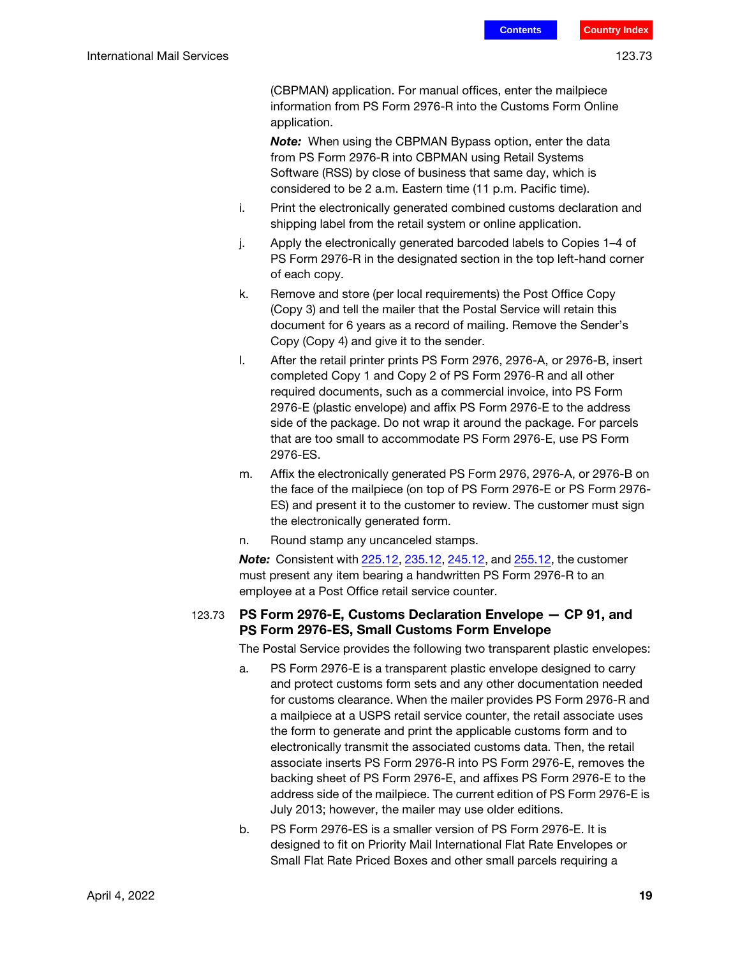(CBPMAN) application. For manual offices, enter the mailpiece information from PS Form 2976-R into the Customs Form Online application.

**Note:** When using the CBPMAN Bypass option, enter the data from PS Form 2976-R into CBPMAN using Retail Systems Software (RSS) by close of business that same day, which is considered to be 2 a.m. Eastern time (11 p.m. Pacific time).

- i. Print the electronically generated combined customs declaration and shipping label from the retail system or online application.
- j. Apply the electronically generated barcoded labels to Copies 1–4 of PS Form 2976-R in the designated section in the top left-hand corner of each copy.
- k. Remove and store (per local requirements) the Post Office Copy (Copy 3) and tell the mailer that the Postal Service will retain this document for 6 years as a record of mailing. Remove the Sender's Copy (Copy 4) and give it to the sender.
- l. After the retail printer prints PS Form 2976, 2976-A, or 2976-B, insert completed Copy 1 and Copy 2 of PS Form 2976-R and all other required documents, such as a commercial invoice, into PS Form 2976-E (plastic envelope) and affix PS Form 2976-E to the address side of the package. Do not wrap it around the package. For parcels that are too small to accommodate PS Form 2976-E, use PS Form 2976-ES.
- m. Affix the electronically generated PS Form 2976, 2976-A, or 2976-B on the face of the mailpiece (on top of PS Form 2976-E or PS Form 2976- ES) and present it to the customer to review. The customer must sign the electronically generated form.
- n. Round stamp any uncanceled stamps.

**Note:** Consistent with 225.12, 235.12, 245.12, and 255.12, the customer must present any item bearing a handwritten PS Form 2976-R to an employee at a Post Office retail service counter.

#### <span id="page-18-0"></span>123.73 PS Form 2976-E, Customs Declaration Envelope — CP 91, and PS Form 2976-ES, Small Customs Form Envelope

The Postal Service provides the following two transparent plastic envelopes:

- a. PS Form 2976-E is a transparent plastic envelope designed to carry and protect customs form sets and any other documentation needed for customs clearance. When the mailer provides PS Form 2976-R and a mailpiece at a USPS retail service counter, the retail associate uses the form to generate and print the applicable customs form and to electronically transmit the associated customs data. Then, the retail associate inserts PS Form 2976-R into PS Form 2976-E, removes the backing sheet of PS Form 2976-E, and affixes PS Form 2976-E to the address side of the mailpiece. The current edition of PS Form 2976-E is July 2013; however, the mailer may use older editions.
- b. PS Form 2976-ES is a smaller version of PS Form 2976-E. It is designed to fit on Priority Mail International Flat Rate Envelopes or Small Flat Rate Priced Boxes and other small parcels requiring a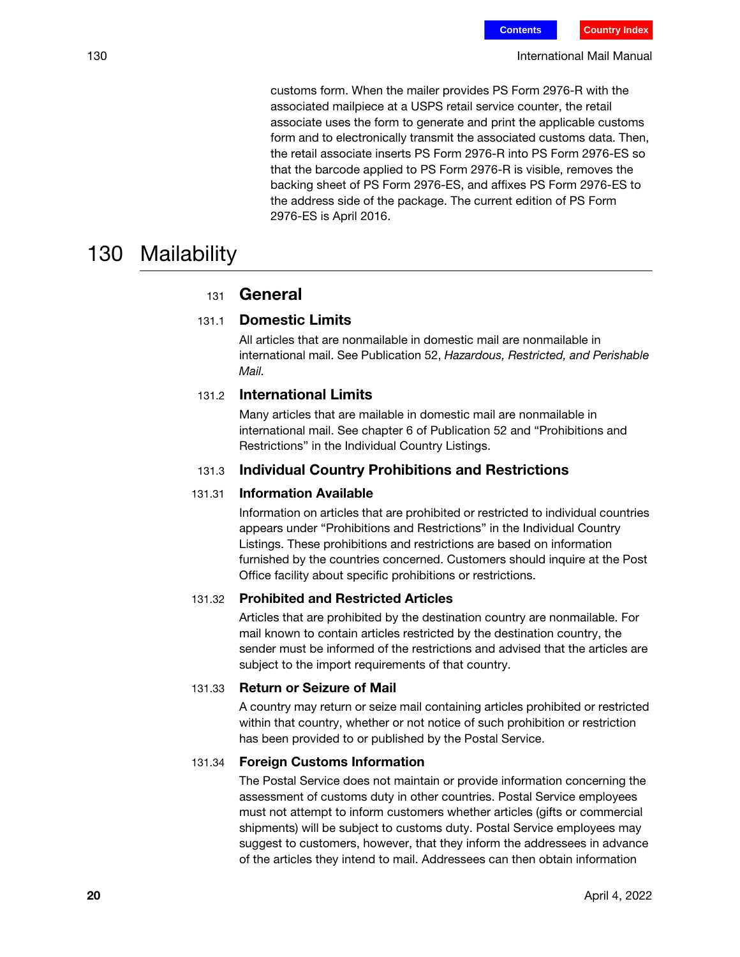customs form. When the mailer provides PS Form 2976-R with the associated mailpiece at a USPS retail service counter, the retail associate uses the form to generate and print the applicable customs form and to electronically transmit the associated customs data. Then, the retail associate inserts PS Form 2976-R into PS Form 2976-ES so that the barcode applied to PS Form 2976-R is visible, removes the backing sheet of PS Form 2976-ES, and affixes PS Form 2976-ES to the address side of the package. The current edition of PS Form 2976-ES is April 2016.

## 130 Mailability

## <sup>131</sup> General

## 131.1 Domestic Limits

All articles that are nonmailable in domestic mail are nonmailable in international mail. See Publication 52, Hazardous, Restricted, and Perishable Mail.

### 131.2 International Limits

Many articles that are mailable in domestic mail are nonmailable in international mail. See chapter 6 of Publication 52 and "Prohibitions and Restrictions" in the Individual Country Listings.

#### 131.3 Individual Country Prohibitions and Restrictions

#### 131.31 Information Available

Information on articles that are prohibited or restricted to individual countries appears under "Prohibitions and Restrictions" in the Individual Country Listings. These prohibitions and restrictions are based on information furnished by the countries concerned. Customers should inquire at the Post Office facility about specific prohibitions or restrictions.

#### 131.32 Prohibited and Restricted Articles

Articles that are prohibited by the destination country are nonmailable. For mail known to contain articles restricted by the destination country, the sender must be informed of the restrictions and advised that the articles are subject to the import requirements of that country.

#### 131.33 Return or Seizure of Mail

A country may return or seize mail containing articles prohibited or restricted within that country, whether or not notice of such prohibition or restriction has been provided to or published by the Postal Service.

#### 131.34 Foreign Customs Information

The Postal Service does not maintain or provide information concerning the assessment of customs duty in other countries. Postal Service employees must not attempt to inform customers whether articles (gifts or commercial shipments) will be subject to customs duty. Postal Service employees may suggest to customers, however, that they inform the addressees in advance of the articles they intend to mail. Addressees can then obtain information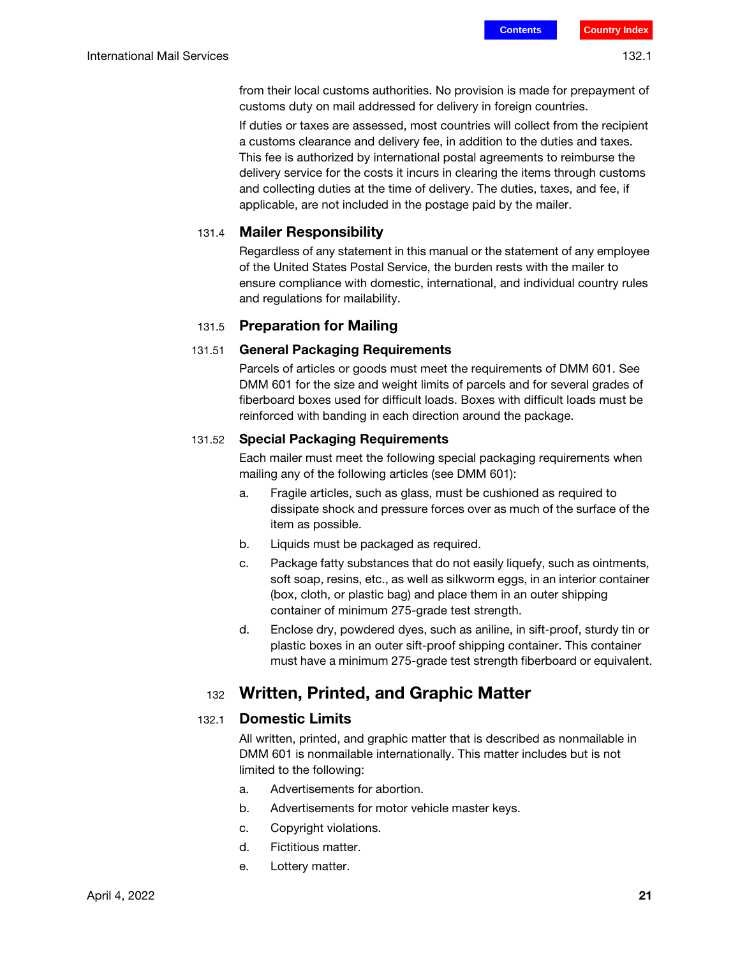from their local customs authorities. No provision is made for prepayment of customs duty on mail addressed for delivery in foreign countries.

If duties or taxes are assessed, most countries will collect from the recipient a customs clearance and delivery fee, in addition to the duties and taxes. This fee is authorized by international postal agreements to reimburse the delivery service for the costs it incurs in clearing the items through customs and collecting duties at the time of delivery. The duties, taxes, and fee, if applicable, are not included in the postage paid by the mailer.

#### 131.4 Mailer Responsibility

Regardless of any statement in this manual or the statement of any employee of the United States Postal Service, the burden rests with the mailer to ensure compliance with domestic, international, and individual country rules and regulations for mailability.

#### 131.5 Preparation for Mailing

#### 131.51 General Packaging Requirements

Parcels of articles or goods must meet the requirements of DMM 601. See DMM 601 for the size and weight limits of parcels and for several grades of fiberboard boxes used for difficult loads. Boxes with difficult loads must be reinforced with banding in each direction around the package.

#### 131.52 Special Packaging Requirements

Each mailer must meet the following special packaging requirements when mailing any of the following articles (see DMM 601):

- a. Fragile articles, such as glass, must be cushioned as required to dissipate shock and pressure forces over as much of the surface of the item as possible.
- b. Liquids must be packaged as required.
- c. Package fatty substances that do not easily liquefy, such as ointments, soft soap, resins, etc., as well as silkworm eggs, in an interior container (box, cloth, or plastic bag) and place them in an outer shipping container of minimum 275-grade test strength.
- d. Enclose dry, powdered dyes, such as aniline, in sift-proof, sturdy tin or plastic boxes in an outer sift-proof shipping container. This container must have a minimum 275-grade test strength fiberboard or equivalent.

## <sup>132</sup> Written, Printed, and Graphic Matter

#### 132.1 Domestic Limits

All written, printed, and graphic matter that is described as nonmailable in DMM 601 is nonmailable internationally. This matter includes but is not limited to the following:

- a. Advertisements for abortion.
- b. Advertisements for motor vehicle master keys.
- c. Copyright violations.
- d. Fictitious matter.
- e. Lottery matter.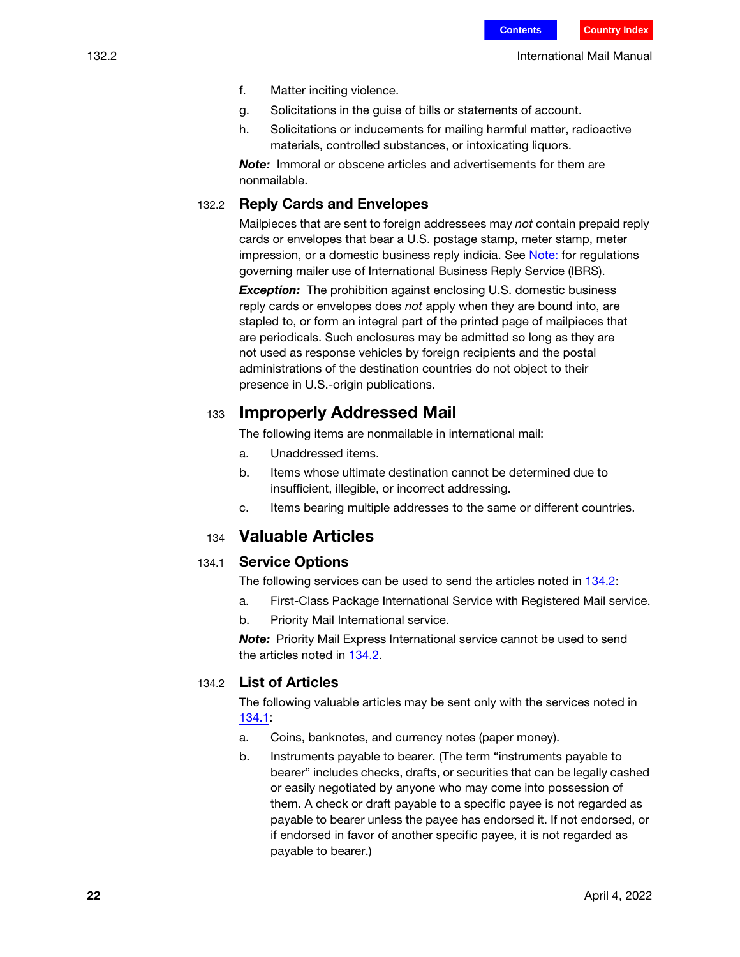132.2 International Mail Manual

- f. Matter inciting violence.
- g. Solicitations in the guise of bills or statements of account.
- h. Solicitations or inducements for mailing harmful matter, radioactive materials, controlled substances, or intoxicating liquors.

Note: Immoral or obscene articles and advertisements for them are nonmailable.

#### 132.2 Reply Cards and Envelopes

Mailpieces that are sent to foreign addressees may not contain prepaid reply cards or envelopes that bear a U.S. postage stamp, meter stamp, meter impression, or a domestic business reply indicia. See Note: for regulations governing mailer use of International Business Reply Service (IBRS).

**Exception:** The prohibition against enclosing U.S. domestic business reply cards or envelopes does not apply when they are bound into, are stapled to, or form an integral part of the printed page of mailpieces that are periodicals. Such enclosures may be admitted so long as they are not used as response vehicles by foreign recipients and the postal administrations of the destination countries do not object to their presence in U.S.-origin publications.

## <sup>133</sup> Improperly Addressed Mail

The following items are nonmailable in international mail:

- a. Unaddressed items.
- b. Items whose ultimate destination cannot be determined due to insufficient, illegible, or incorrect addressing.
- c. Items bearing multiple addresses to the same or different countries.

### <sup>134</sup> Valuable Articles

#### <span id="page-21-1"></span>134.1 Service Options

The following services can be used to send the articles noted in [134.2](#page-21-0):

- a. First-Class Package International Service with Registered Mail service.
- b. Priority Mail International service.

Note: Priority Mail Express International service cannot be used to send the articles noted in [134.2.](#page-21-0)

#### <span id="page-21-0"></span>134.2 List of Articles

The following valuable articles may be sent only with the services noted in [134.1](#page-21-1):

- a. Coins, banknotes, and currency notes (paper money).
- b. Instruments payable to bearer. (The term "instruments payable to bearer" includes checks, drafts, or securities that can be legally cashed or easily negotiated by anyone who may come into possession of them. A check or draft payable to a specific payee is not regarded as payable to bearer unless the payee has endorsed it. If not endorsed, or if endorsed in favor of another specific payee, it is not regarded as payable to bearer.)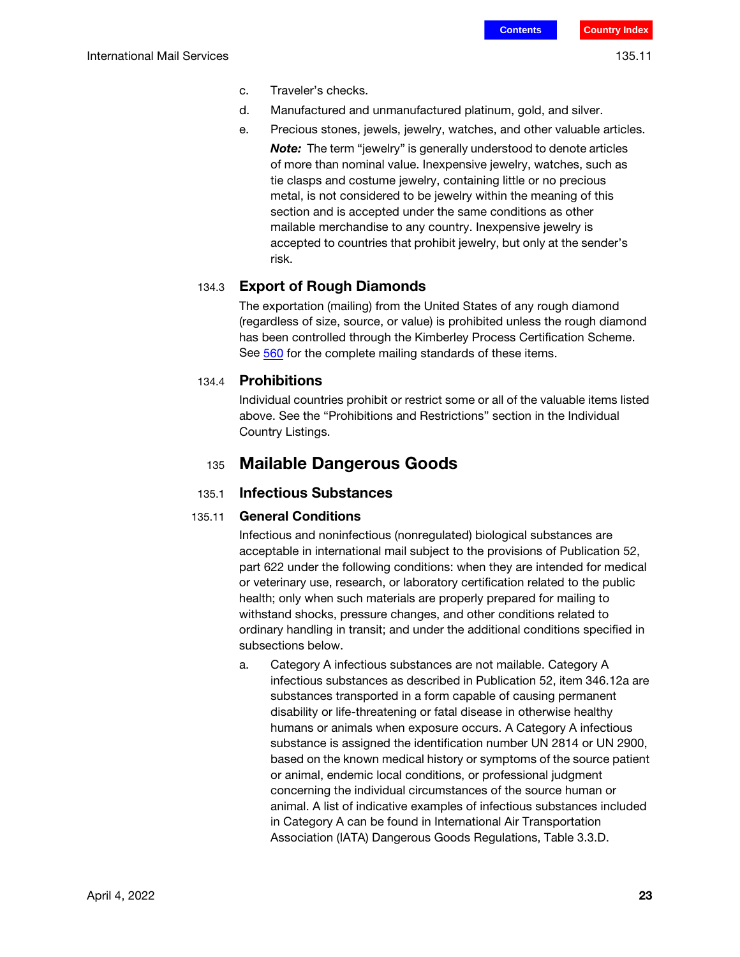- c. Traveler's checks.
- d. Manufactured and unmanufactured platinum, gold, and silver.
- e. Precious stones, jewels, jewelry, watches, and other valuable articles.
	- **Note:** The term "jewelry" is generally understood to denote articles of more than nominal value. Inexpensive jewelry, watches, such as tie clasps and costume jewelry, containing little or no precious metal, is not considered to be jewelry within the meaning of this section and is accepted under the same conditions as other mailable merchandise to any country. Inexpensive jewelry is accepted to countries that prohibit jewelry, but only at the sender's risk.

#### 134.3 Export of Rough Diamonds

The exportation (mailing) from the United States of any rough diamond (regardless of size, source, or value) is prohibited unless the rough diamond has been controlled through the Kimberley Process Certification Scheme. See 560 for the complete mailing standards of these items.

#### 134.4 Prohibitions

Individual countries prohibit or restrict some or all of the valuable items listed above. See the "Prohibitions and Restrictions" section in the Individual Country Listings.

## <sup>135</sup> Mailable Dangerous Goods

#### <span id="page-22-0"></span>135.1 Infectious Substances

#### <span id="page-22-1"></span>135.11 General Conditions

Infectious and noninfectious (nonregulated) biological substances are acceptable in international mail subject to the provisions of Publication 52, part 622 under the following conditions: when they are intended for medical or veterinary use, research, or laboratory certification related to the public health; only when such materials are properly prepared for mailing to withstand shocks, pressure changes, and other conditions related to ordinary handling in transit; and under the additional conditions specified in subsections below.

a. Category A infectious substances are not mailable. Category A infectious substances as described in Publication 52, item 346.12a are substances transported in a form capable of causing permanent disability or life-threatening or fatal disease in otherwise healthy humans or animals when exposure occurs. A Category A infectious substance is assigned the identification number UN 2814 or UN 2900, based on the known medical history or symptoms of the source patient or animal, endemic local conditions, or professional judgment concerning the individual circumstances of the source human or animal. A list of indicative examples of infectious substances included in Category A can be found in International Air Transportation Association (IATA) Dangerous Goods Regulations, Table 3.3.D.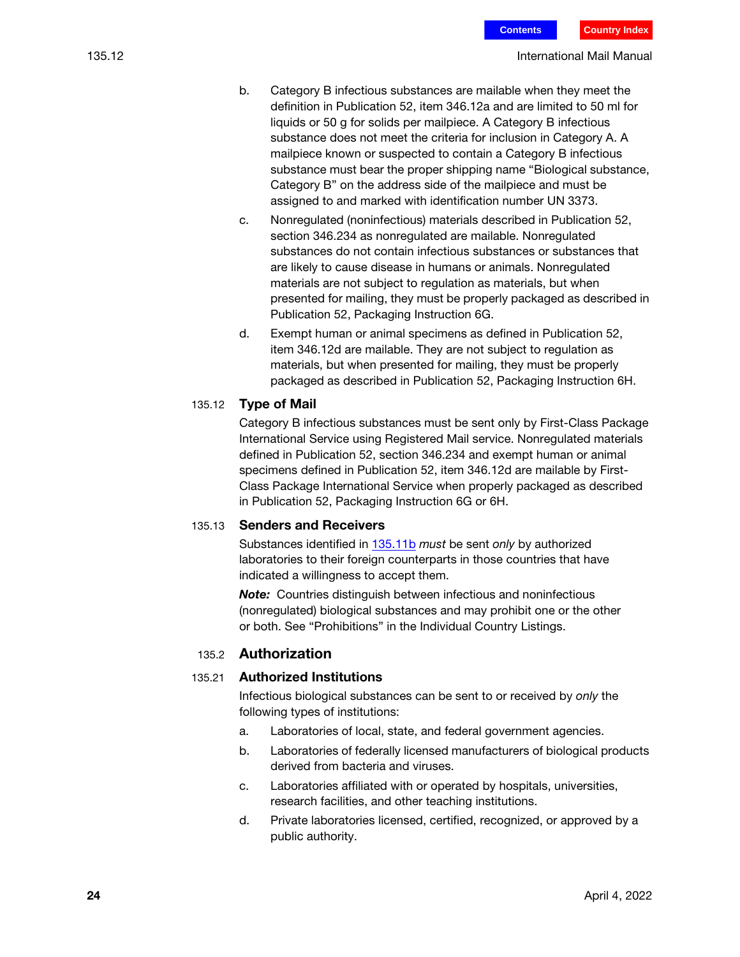- b. Category B infectious substances are mailable when they meet the definition in Publication 52, item 346.12a and are limited to 50 ml for liquids or 50 g for solids per mailpiece. A Category B infectious substance does not meet the criteria for inclusion in Category A. A mailpiece known or suspected to contain a Category B infectious substance must bear the proper shipping name "Biological substance, Category B" on the address side of the mailpiece and must be assigned to and marked with identification number UN 3373.
- c. Nonregulated (noninfectious) materials described in Publication 52, section 346.234 as nonregulated are mailable. Nonregulated substances do not contain infectious substances or substances that are likely to cause disease in humans or animals. Nonregulated materials are not subject to regulation as materials, but when presented for mailing, they must be properly packaged as described in Publication 52, Packaging Instruction 6G.
- d. Exempt human or animal specimens as defined in Publication 52, item 346.12d are mailable. They are not subject to regulation as materials, but when presented for mailing, they must be properly packaged as described in Publication 52, Packaging Instruction 6H.

#### 135.12 Type of Mail

Category B infectious substances must be sent only by First-Class Package International Service using Registered Mail service. Nonregulated materials defined in Publication 52, section 346.234 and exempt human or animal specimens defined in Publication 52, item 346.12d are mailable by First-Class Package International Service when properly packaged as described in Publication 52, Packaging Instruction 6G or 6H.

#### 135.13 Senders and Receivers

Substances identified in [135.11](#page-22-1)b must be sent only by authorized laboratories to their foreign counterparts in those countries that have indicated a willingness to accept them.

**Note:** Countries distinguish between infectious and noninfectious (nonregulated) biological substances and may prohibit one or the other or both. See "Prohibitions" in the Individual Country Listings.

#### 135.2 Authorization

#### 135.21 Authorized Institutions

Infectious biological substances can be sent to or received by only the following types of institutions:

- a. Laboratories of local, state, and federal government agencies.
- b. Laboratories of federally licensed manufacturers of biological products derived from bacteria and viruses.
- c. Laboratories affiliated with or operated by hospitals, universities, research facilities, and other teaching institutions.
- d. Private laboratories licensed, certified, recognized, or approved by a public authority.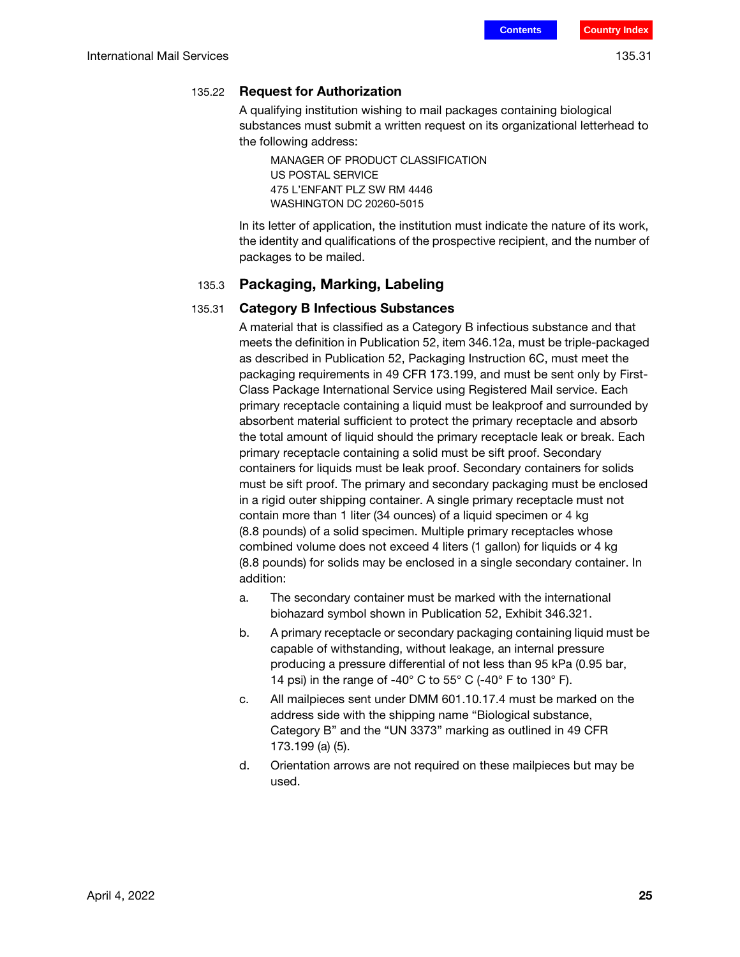#### 135.22 Request for Authorization

A qualifying institution wishing to mail packages containing biological substances must submit a written request on its organizational letterhead to the following address:

MANAGER OF PRODUCT CLASSIFICATION US POSTAL SERVICE 475 L'ENFANT PLZ SW RM 4446 WASHINGTON DC 20260-5015

In its letter of application, the institution must indicate the nature of its work, the identity and qualifications of the prospective recipient, and the number of packages to be mailed.

#### 135.3 Packaging, Marking, Labeling

#### 135.31 Category B Infectious Substances

A material that is classified as a Category B infectious substance and that meets the definition in Publication 52, item 346.12a, must be triple-packaged as described in Publication 52, Packaging Instruction 6C, must meet the packaging requirements in 49 CFR 173.199, and must be sent only by First-Class Package International Service using Registered Mail service. Each primary receptacle containing a liquid must be leakproof and surrounded by absorbent material sufficient to protect the primary receptacle and absorb the total amount of liquid should the primary receptacle leak or break. Each primary receptacle containing a solid must be sift proof. Secondary containers for liquids must be leak proof. Secondary containers for solids must be sift proof. The primary and secondary packaging must be enclosed in a rigid outer shipping container. A single primary receptacle must not contain more than 1 liter (34 ounces) of a liquid specimen or 4 kg (8.8 pounds) of a solid specimen. Multiple primary receptacles whose combined volume does not exceed 4 liters (1 gallon) for liquids or 4 kg (8.8 pounds) for solids may be enclosed in a single secondary container. In addition:

- a. The secondary container must be marked with the international biohazard symbol shown in Publication 52, Exhibit 346.321.
- b. A primary receptacle or secondary packaging containing liquid must be capable of withstanding, without leakage, an internal pressure producing a pressure differential of not less than 95 kPa (0.95 bar, 14 psi) in the range of -40 $^{\circ}$  C to 55 $^{\circ}$  C (-40 $^{\circ}$  F to 130 $^{\circ}$  F).
- c. All mailpieces sent under DMM 601.10.17.4 must be marked on the address side with the shipping name "Biological substance, Category B" and the "UN 3373" marking as outlined in 49 CFR 173.199 (a) (5).
- d. Orientation arrows are not required on these mailpieces but may be used.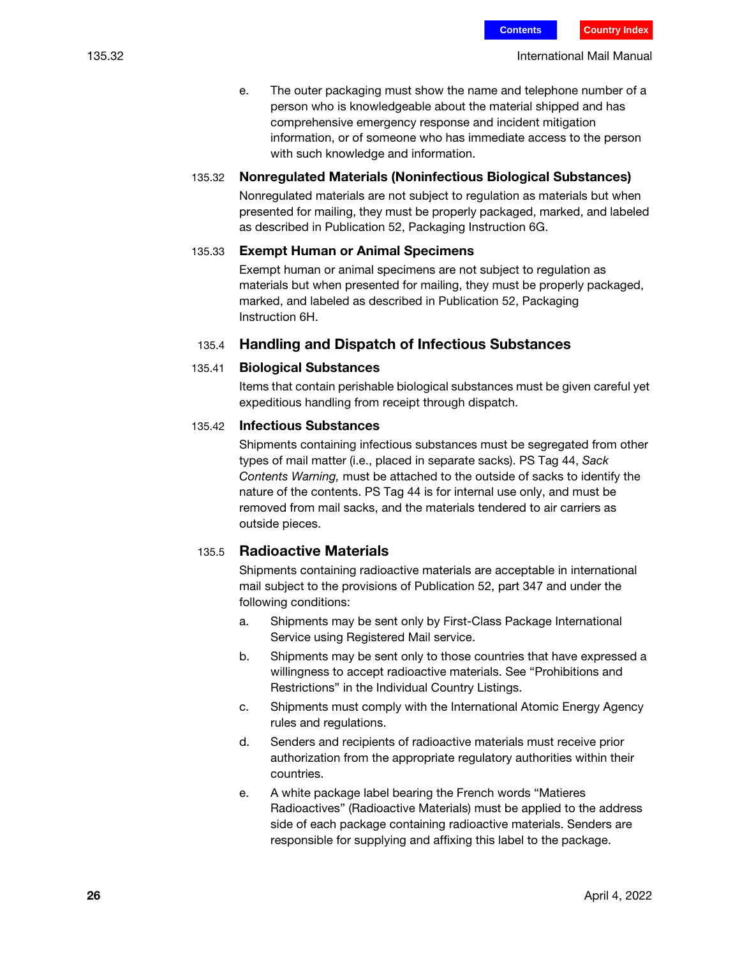e. The outer packaging must show the name and telephone number of a person who is knowledgeable about the material shipped and has comprehensive emergency response and incident mitigation information, or of someone who has immediate access to the person with such knowledge and information.

#### 135.32 Nonregulated Materials (Noninfectious Biological Substances)

Nonregulated materials are not subject to regulation as materials but when presented for mailing, they must be properly packaged, marked, and labeled as described in Publication 52, Packaging Instruction 6G.

#### 135.33 Exempt Human or Animal Specimens

Exempt human or animal specimens are not subject to regulation as materials but when presented for mailing, they must be properly packaged, marked, and labeled as described in Publication 52, Packaging Instruction 6H.

#### 135.4 Handling and Dispatch of Infectious Substances

#### 135.41 Biological Substances

Items that contain perishable biological substances must be given careful yet expeditious handling from receipt through dispatch.

#### 135.42 Infectious Substances

Shipments containing infectious substances must be segregated from other types of mail matter (i.e., placed in separate sacks). PS Tag 44, Sack Contents Warning, must be attached to the outside of sacks to identify the nature of the contents. PS Tag 44 is for internal use only, and must be removed from mail sacks, and the materials tendered to air carriers as outside pieces.

#### 135.5 Radioactive Materials

Shipments containing radioactive materials are acceptable in international mail subject to the provisions of Publication 52, part 347 and under the following conditions:

- a. Shipments may be sent only by First-Class Package International Service using Registered Mail service.
- b. Shipments may be sent only to those countries that have expressed a willingness to accept radioactive materials. See "Prohibitions and Restrictions" in the Individual Country Listings.
- c. Shipments must comply with the International Atomic Energy Agency rules and regulations.
- d. Senders and recipients of radioactive materials must receive prior authorization from the appropriate regulatory authorities within their countries.
- e. A white package label bearing the French words "Matieres Radioactives" (Radioactive Materials) must be applied to the address side of each package containing radioactive materials. Senders are responsible for supplying and affixing this label to the package.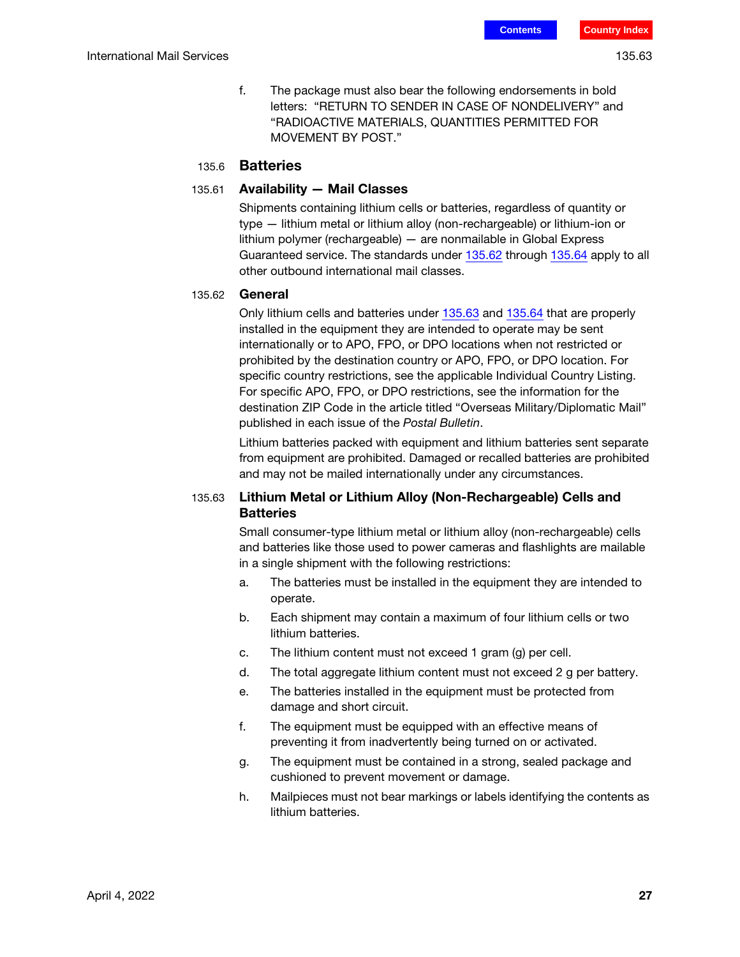- 
- f. The package must also bear the following endorsements in bold letters: "RETURN TO SENDER IN CASE OF NONDELIVERY" and "RADIOACTIVE MATERIALS, QUANTITIES PERMITTED FOR MOVEMENT BY POST."

### 135.6 Batteries

#### 135.61 Availability — Mail Classes

Shipments containing lithium cells or batteries, regardless of quantity or type — lithium metal or lithium alloy (non-rechargeable) or lithium-ion or lithium polymer (rechargeable) — are nonmailable in Global Express Guaranteed service. The standards under [135.62](#page-26-0) through [135.64](#page-27-1) apply to all other outbound international mail classes.

#### <span id="page-26-0"></span>135.62 General

Only lithium cells and batteries under [135.63](#page-26-1) and [135.64](#page-27-1) that are properly installed in the equipment they are intended to operate may be sent internationally or to APO, FPO, or DPO locations when not restricted or prohibited by the destination country or APO, FPO, or DPO location. For specific country restrictions, see the applicable Individual Country Listing. For specific APO, FPO, or DPO restrictions, see the information for the destination ZIP Code in the article titled "Overseas Military/Diplomatic Mail" published in each issue of the Postal Bulletin.

Lithium batteries packed with equipment and lithium batteries sent separate from equipment are prohibited. Damaged or recalled batteries are prohibited and may not be mailed internationally under any circumstances.

#### <span id="page-26-1"></span>135.63 Lithium Metal or Lithium Alloy (Non-Rechargeable) Cells and **Batteries**

Small consumer-type lithium metal or lithium alloy (non-rechargeable) cells and batteries like those used to power cameras and flashlights are mailable in a single shipment with the following restrictions:

- a. The batteries must be installed in the equipment they are intended to operate.
- b. Each shipment may contain a maximum of four lithium cells or two lithium batteries.
- c. The lithium content must not exceed 1 gram (g) per cell.
- d. The total aggregate lithium content must not exceed 2 g per battery.
- e. The batteries installed in the equipment must be protected from damage and short circuit.
- f. The equipment must be equipped with an effective means of preventing it from inadvertently being turned on or activated.
- g. The equipment must be contained in a strong, sealed package and cushioned to prevent movement or damage.
- h. Mailpieces must not bear markings or labels identifying the contents as lithium batteries.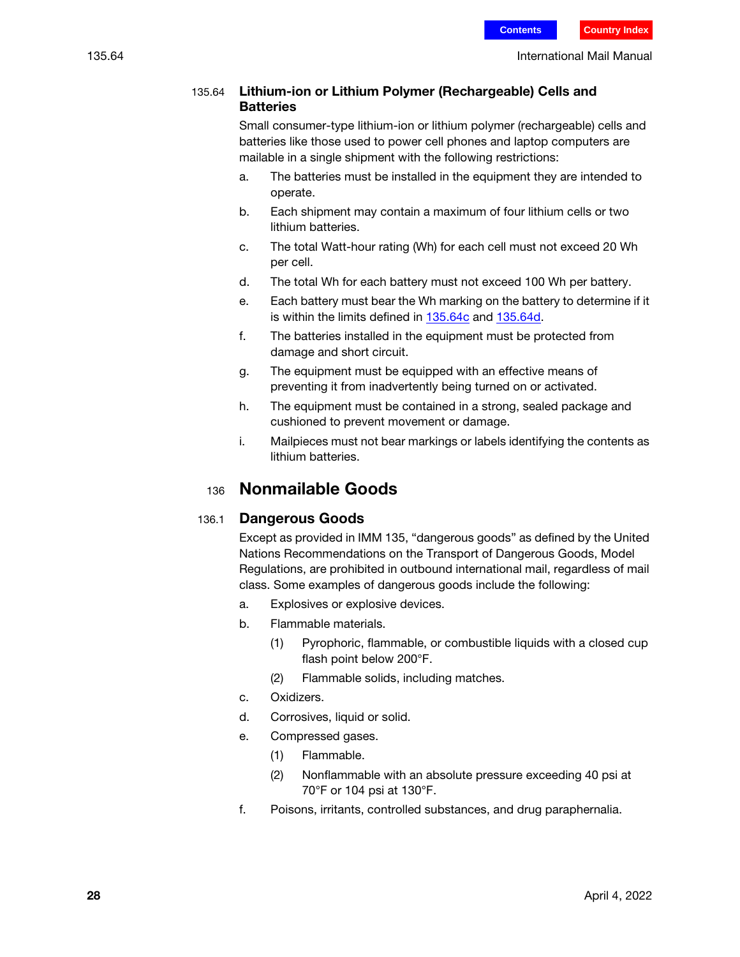#### <span id="page-27-1"></span>135.64 Lithium-ion or Lithium Polymer (Rechargeable) Cells and **Batteries**

Small consumer-type lithium-ion or lithium polymer (rechargeable) cells and batteries like those used to power cell phones and laptop computers are mailable in a single shipment with the following restrictions:

- a. The batteries must be installed in the equipment they are intended to operate.
- b. Each shipment may contain a maximum of four lithium cells or two lithium batteries.
- c. The total Watt-hour rating (Wh) for each cell must not exceed 20 Wh per cell.
- d. The total Wh for each battery must not exceed 100 Wh per battery.
- e. Each battery must bear the Wh marking on the battery to determine if it is within the limits defined in [135.64](#page-27-1)c and [135.64d](#page-27-1).
- f. The batteries installed in the equipment must be protected from damage and short circuit.
- g. The equipment must be equipped with an effective means of preventing it from inadvertently being turned on or activated.
- h. The equipment must be contained in a strong, sealed package and cushioned to prevent movement or damage.
- i. Mailpieces must not bear markings or labels identifying the contents as lithium batteries.

## <sup>136</sup> Nonmailable Goods

## <span id="page-27-0"></span>136.1 Dangerous Goods

Except as provided in IMM 135, "dangerous goods" as defined by the United Nations Recommendations on the Transport of Dangerous Goods, Model Regulations, are prohibited in outbound international mail, regardless of mail class. Some examples of dangerous goods include the following:

- a. Explosives or explosive devices.
- b. Flammable materials.
	- (1) Pyrophoric, flammable, or combustible liquids with a closed cup flash point below 200°F.
	- (2) Flammable solids, including matches.
- c. Oxidizers.
- d. Corrosives, liquid or solid.
- e. Compressed gases.
	- (1) Flammable.
	- (2) Nonflammable with an absolute pressure exceeding 40 psi at 70°F or 104 psi at 130°F.
- f. Poisons, irritants, controlled substances, and drug paraphernalia.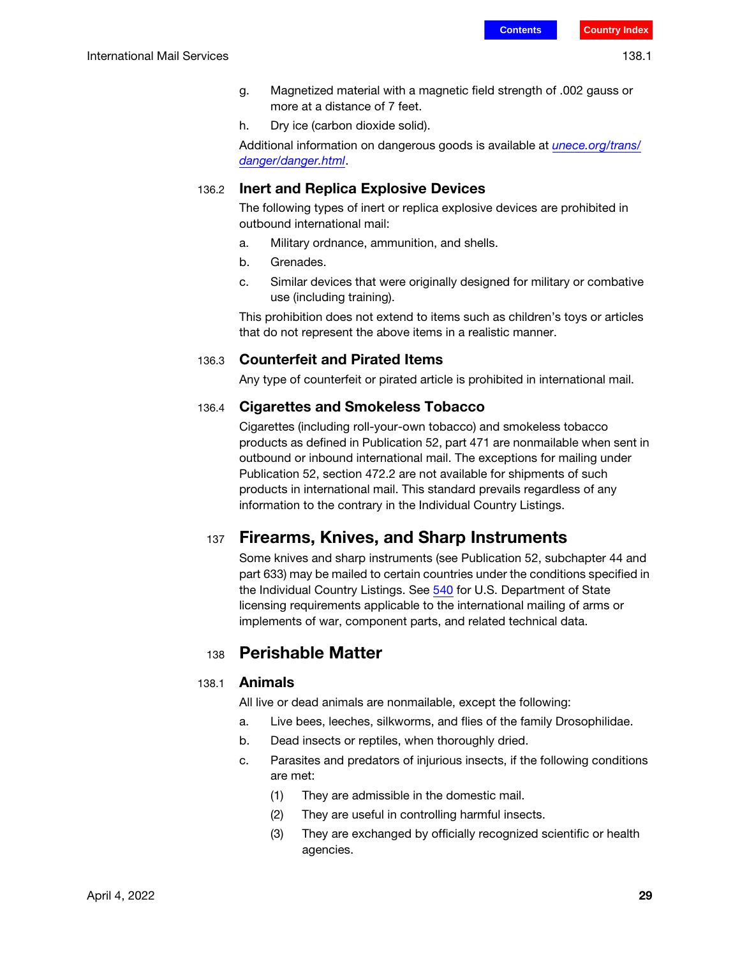- g. Magnetized material with a magnetic field strength of .002 gauss or more at a distance of 7 feet.
- h. Dry ice (carbon dioxide solid).

Additional information on dangerous goods is available at *[unece.org/trans/](http://www.unece.org/trans/danger/danger.html)* [danger/danger.html](http://www.unece.org/trans/danger/danger.html).

## 136.2 Inert and Replica Explosive Devices

The following types of inert or replica explosive devices are prohibited in outbound international mail:

- a. Military ordnance, ammunition, and shells.
- b. Grenades.
- c. Similar devices that were originally designed for military or combative use (including training).

This prohibition does not extend to items such as children's toys or articles that do not represent the above items in a realistic manner.

## 136.3 Counterfeit and Pirated Items

Any type of counterfeit or pirated article is prohibited in international mail.

## 136.4 Cigarettes and Smokeless Tobacco

Cigarettes (including roll-your-own tobacco) and smokeless tobacco products as defined in Publication 52, part 471 are nonmailable when sent in outbound or inbound international mail. The exceptions for mailing under Publication 52, section 472.2 are not available for shipments of such products in international mail. This standard prevails regardless of any information to the contrary in the Individual Country Listings.

## 137 Firearms, Knives, and Sharp Instruments

Some knives and sharp instruments (see Publication 52, subchapter 44 and part 633) may be mailed to certain countries under the conditions specified in the Individual Country Listings. See 540 for U.S. Department of State licensing requirements applicable to the international mailing of arms or implements of war, component parts, and related technical data.

## <sup>138</sup> Perishable Matter

## 138.1 Animals

All live or dead animals are nonmailable, except the following:

- a. Live bees, leeches, silkworms, and flies of the family Drosophilidae.
- b. Dead insects or reptiles, when thoroughly dried.
- c. Parasites and predators of injurious insects, if the following conditions are met:
	- (1) They are admissible in the domestic mail.
	- (2) They are useful in controlling harmful insects.
	- (3) They are exchanged by officially recognized scientific or health agencies.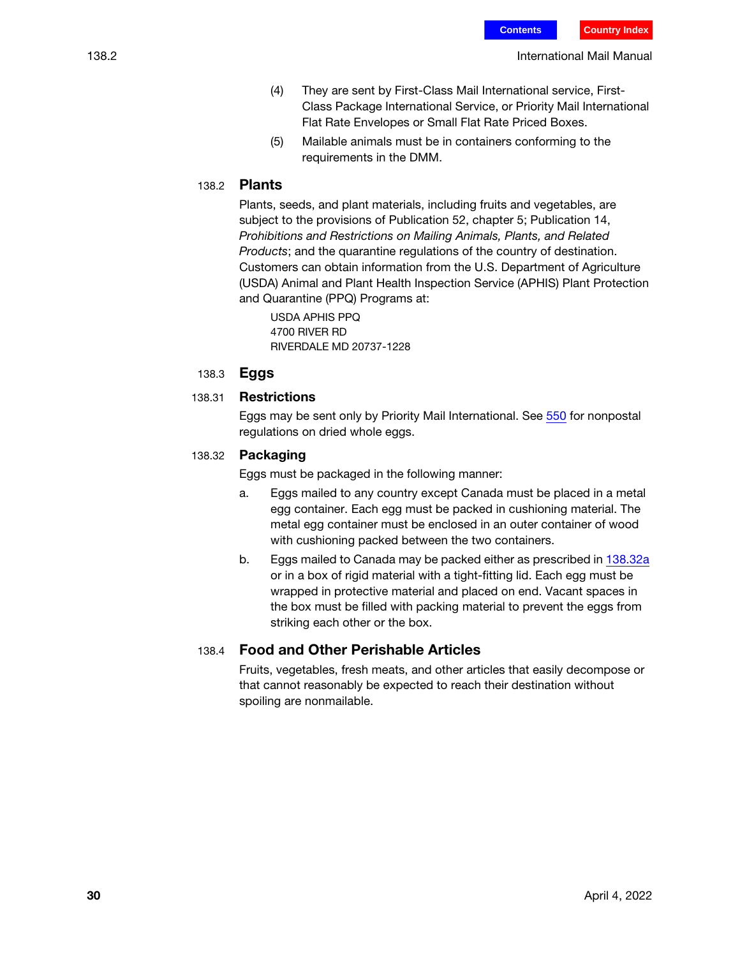- (4) They are sent by First-Class Mail International service, First-Class Package International Service, or Priority Mail International Flat Rate Envelopes or Small Flat Rate Priced Boxes.
- (5) Mailable animals must be in containers conforming to the requirements in the DMM.

#### 138.2 Plants

Plants, seeds, and plant materials, including fruits and vegetables, are subject to the provisions of Publication 52, chapter 5; Publication 14, Prohibitions and Restrictions on Mailing Animals, Plants, and Related Products; and the quarantine regulations of the country of destination. Customers can obtain information from the U.S. Department of Agriculture (USDA) Animal and Plant Health Inspection Service (APHIS) Plant Protection and Quarantine (PPQ) Programs at:

USDA APHIS PPQ 4700 RIVER RD RIVERDALE MD 20737-1228

#### 138.3 Eggs

#### 138.31 Restrictions

Eggs may be sent only by Priority Mail International. See 550 for nonpostal regulations on dried whole eggs.

#### <span id="page-29-0"></span>138.32 Packaging

Eggs must be packaged in the following manner:

- a. Eggs mailed to any country except Canada must be placed in a metal egg container. Each egg must be packed in cushioning material. The metal egg container must be enclosed in an outer container of wood with cushioning packed between the two containers.
- b. Eggs mailed to Canada may be packed either as prescribed in [138.32](#page-29-0)a or in a box of rigid material with a tight-fitting lid. Each egg must be wrapped in protective material and placed on end. Vacant spaces in the box must be filled with packing material to prevent the eggs from striking each other or the box.

#### 138.4 Food and Other Perishable Articles

Fruits, vegetables, fresh meats, and other articles that easily decompose or that cannot reasonably be expected to reach their destination without spoiling are nonmailable.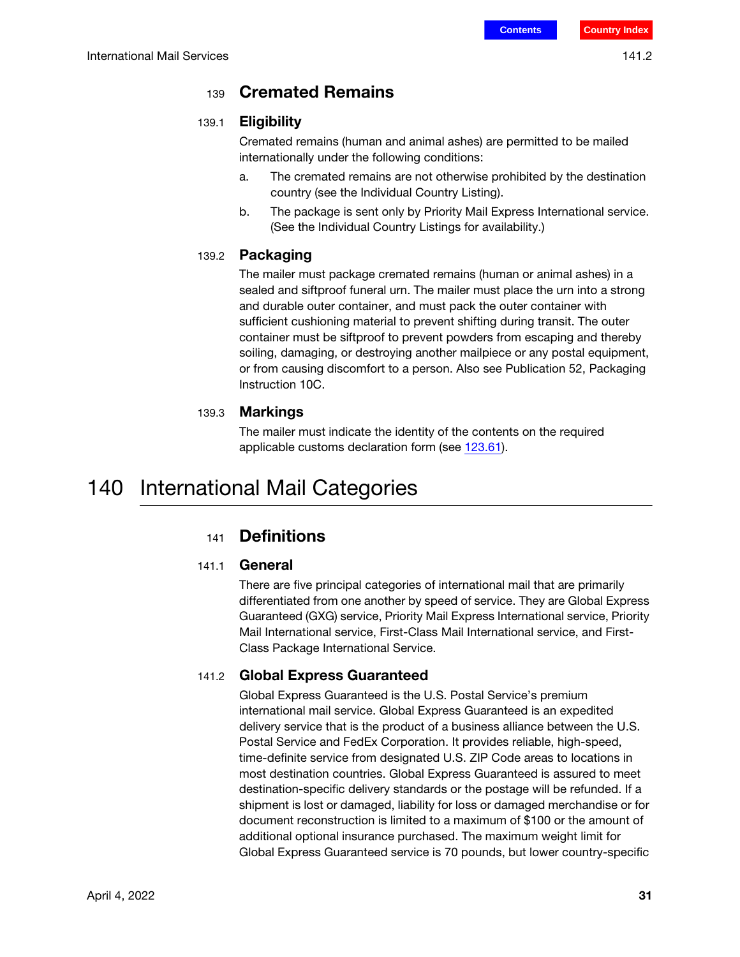## <sup>139</sup> Cremated Remains

### 139.1 Eligibility

Cremated remains (human and animal ashes) are permitted to be mailed internationally under the following conditions:

- a. The cremated remains are not otherwise prohibited by the destination country (see the Individual Country Listing).
- b. The package is sent only by Priority Mail Express International service. (See the Individual Country Listings for availability.)

## 139.2 Packaging

The mailer must package cremated remains (human or animal ashes) in a sealed and siftproof funeral urn. The mailer must place the urn into a strong and durable outer container, and must pack the outer container with sufficient cushioning material to prevent shifting during transit. The outer container must be siftproof to prevent powders from escaping and thereby soiling, damaging, or destroying another mailpiece or any postal equipment, or from causing discomfort to a person. Also see Publication 52, Packaging Instruction 10C.

## 139.3 Markings

The mailer must indicate the identity of the contents on the required applicable customs declaration form (see [123.61](#page-10-1)).

## 140 International Mail Categories

## <sup>141</sup> Definitions

## 141.1 General

There are five principal categories of international mail that are primarily differentiated from one another by speed of service. They are Global Express Guaranteed (GXG) service, Priority Mail Express International service, Priority Mail International service, First-Class Mail International service, and First-Class Package International Service.

## 141.2 Global Express Guaranteed

Global Express Guaranteed is the U.S. Postal Service's premium international mail service. Global Express Guaranteed is an expedited delivery service that is the product of a business alliance between the U.S. Postal Service and FedEx Corporation. It provides reliable, high-speed, time-definite service from designated U.S. ZIP Code areas to locations in most destination countries. Global Express Guaranteed is assured to meet destination-specific delivery standards or the postage will be refunded. If a shipment is lost or damaged, liability for loss or damaged merchandise or for document reconstruction is limited to a maximum of \$100 or the amount of additional optional insurance purchased. The maximum weight limit for Global Express Guaranteed service is 70 pounds, but lower country-specific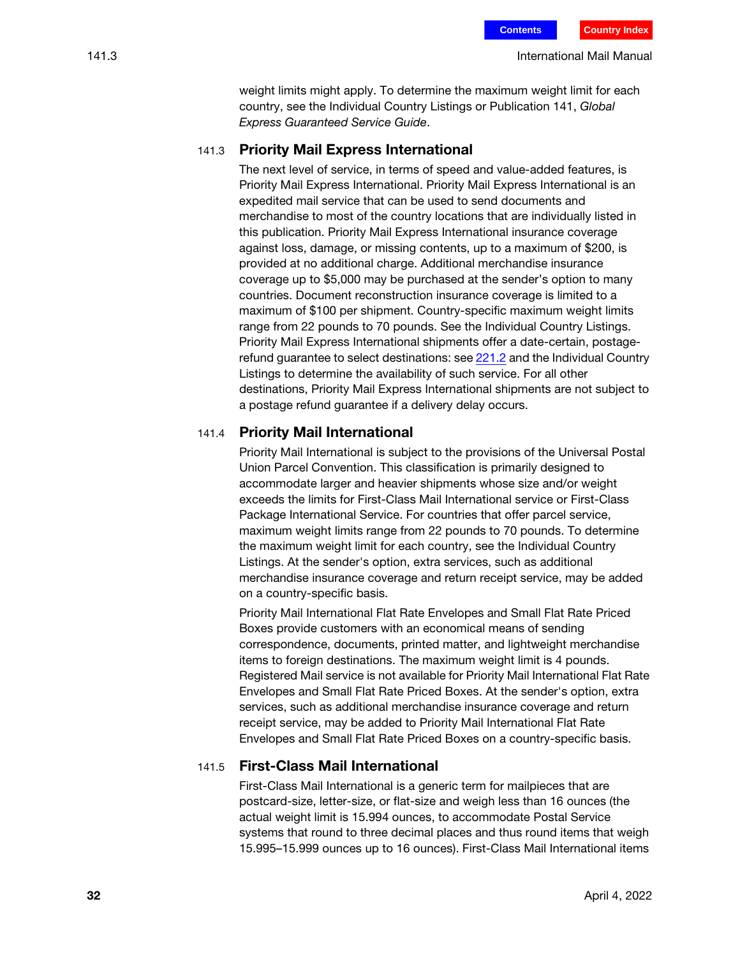weight limits might apply. To determine the maximum weight limit for each country, see the Individual Country Listings or Publication 141, Global Express Guaranteed Service Guide.

#### 141.3 Priority Mail Express International

The next level of service, in terms of speed and value-added features, is Priority Mail Express International. Priority Mail Express International is an expedited mail service that can be used to send documents and merchandise to most of the country locations that are individually listed in this publication. Priority Mail Express International insurance coverage against loss, damage, or missing contents, up to a maximum of \$200, is provided at no additional charge. Additional merchandise insurance coverage up to \$5,000 may be purchased at the sender's option to many countries. Document reconstruction insurance coverage is limited to a maximum of \$100 per shipment. Country-specific maximum weight limits range from 22 pounds to 70 pounds. See the Individual Country Listings. Priority Mail Express International shipments offer a date-certain, postagerefund guarantee to select destinations: see 221.2 and the Individual Country Listings to determine the availability of such service. For all other destinations, Priority Mail Express International shipments are not subject to a postage refund guarantee if a delivery delay occurs.

#### 141.4 Priority Mail International

Priority Mail International is subject to the provisions of the Universal Postal Union Parcel Convention. This classification is primarily designed to accommodate larger and heavier shipments whose size and/or weight exceeds the limits for First-Class Mail International service or First-Class Package International Service. For countries that offer parcel service, maximum weight limits range from 22 pounds to 70 pounds. To determine the maximum weight limit for each country, see the Individual Country Listings. At the sender's option, extra services, such as additional merchandise insurance coverage and return receipt service, may be added on a country-specific basis.

Priority Mail International Flat Rate Envelopes and Small Flat Rate Priced Boxes provide customers with an economical means of sending correspondence, documents, printed matter, and lightweight merchandise items to foreign destinations. The maximum weight limit is 4 pounds. Registered Mail service is not available for Priority Mail International Flat Rate Envelopes and Small Flat Rate Priced Boxes. At the sender's option, extra services, such as additional merchandise insurance coverage and return receipt service, may be added to Priority Mail International Flat Rate Envelopes and Small Flat Rate Priced Boxes on a country-specific basis.

#### 141.5 First-Class Mail International

First-Class Mail International is a generic term for mailpieces that are postcard-size, letter-size, or flat-size and weigh less than 16 ounces (the actual weight limit is 15.994 ounces, to accommodate Postal Service systems that round to three decimal places and thus round items that weigh 15.995–15.999 ounces up to 16 ounces). First-Class Mail International items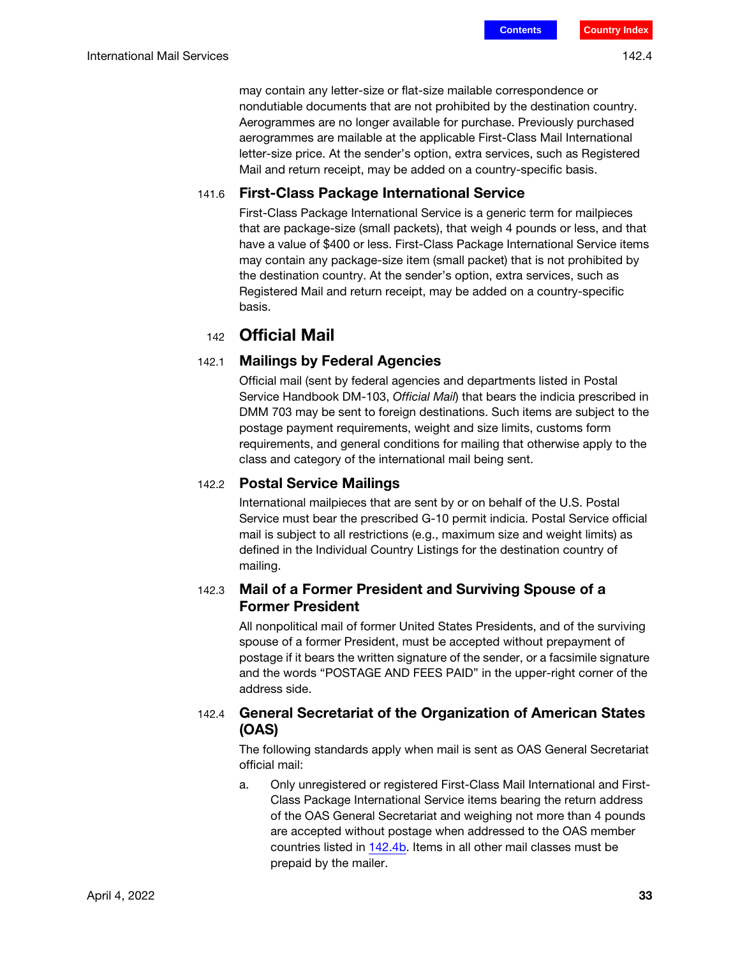may contain any letter-size or flat-size mailable correspondence or nondutiable documents that are not prohibited by the destination country. Aerogrammes are no longer available for purchase. Previously purchased aerogrammes are mailable at the applicable First-Class Mail International letter-size price. At the sender's option, extra services, such as Registered Mail and return receipt, may be added on a country-specific basis.

#### 141.6 First-Class Package International Service

First-Class Package International Service is a generic term for mailpieces that are package-size (small packets), that weigh 4 pounds or less, and that have a value of \$400 or less. First-Class Package International Service items may contain any package-size item (small packet) that is not prohibited by the destination country. At the sender's option, extra services, such as Registered Mail and return receipt, may be added on a country-specific basis.

## <sup>142</sup> Official Mail

#### 142.1 Mailings by Federal Agencies

Official mail (sent by federal agencies and departments listed in Postal Service Handbook DM-103, Official Mail) that bears the indicia prescribed in DMM 703 may be sent to foreign destinations. Such items are subject to the postage payment requirements, weight and size limits, customs form requirements, and general conditions for mailing that otherwise apply to the class and category of the international mail being sent.

#### 142.2 Postal Service Mailings

International mailpieces that are sent by or on behalf of the U.S. Postal Service must bear the prescribed G-10 permit indicia. Postal Service official mail is subject to all restrictions (e.g., maximum size and weight limits) as defined in the Individual Country Listings for the destination country of mailing.

#### 142.3 Mail of a Former President and Surviving Spouse of a Former President

All nonpolitical mail of former United States Presidents, and of the surviving spouse of a former President, must be accepted without prepayment of postage if it bears the written signature of the sender, or a facsimile signature and the words "POSTAGE AND FEES PAID" in the upper-right corner of the address side.

## <span id="page-32-0"></span>142.4 General Secretariat of the Organization of American States (OAS)

The following standards apply when mail is sent as OAS General Secretariat official mail:

a. Only unregistered or registered First-Class Mail International and First-Class Package International Service items bearing the return address of the OAS General Secretariat and weighing not more than 4 pounds are accepted without postage when addressed to the OAS member countries listed in [142.4](#page-32-0)b. Items in all other mail classes must be prepaid by the mailer.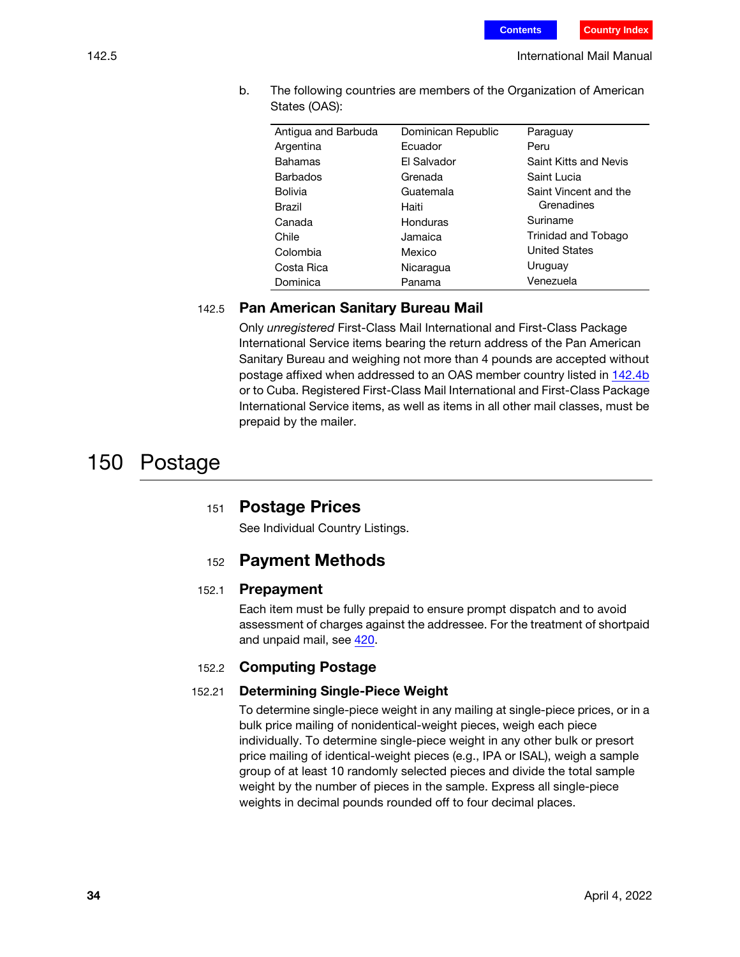b. The following countries are members of the Organization of American States (OAS):

| Antigua and Barbuda | Dominican Republic | Paraguay              |
|---------------------|--------------------|-----------------------|
| Argentina           | Fcuador            | Peru                  |
| <b>Bahamas</b>      | El Salvador        | Saint Kitts and Nevis |
| <b>Barbados</b>     | Grenada            | Saint Lucia           |
| <b>Bolivia</b>      | Guatemala          | Saint Vincent and the |
| <b>Brazil</b>       | Haiti              | Grenadines            |
| Canada              | Honduras           | Suriname              |
| Chile               | Jamaica            | Trinidad and Tobago   |
| Colombia            | Mexico             | <b>United States</b>  |
| Costa Rica          | Nicaragua          | Uruguay               |
| Dominica            | Panama             | Venezuela             |

## 142.5 Pan American Sanitary Bureau Mail

Only unregistered First-Class Mail International and First-Class Package International Service items bearing the return address of the Pan American Sanitary Bureau and weighing not more than 4 pounds are accepted without postage affixed when addressed to an OAS member country listed in [142.4b](#page-32-0) or to Cuba. Registered First-Class Mail International and First-Class Package International Service items, as well as items in all other mail classes, must be prepaid by the mailer.

## 150 Postage

#### <sup>151</sup> Postage Prices

See Individual Country Listings.

## <sup>152</sup> Payment Methods

#### 152.1 Prepayment

Each item must be fully prepaid to ensure prompt dispatch and to avoid assessment of charges against the addressee. For the treatment of shortpaid and unpaid mail, see 420.

#### 152.2 Computing Postage

#### 152.21 Determining Single-Piece Weight

To determine single-piece weight in any mailing at single-piece prices, or in a bulk price mailing of nonidentical-weight pieces, weigh each piece individually. To determine single-piece weight in any other bulk or presort price mailing of identical-weight pieces (e.g., IPA or ISAL), weigh a sample group of at least 10 randomly selected pieces and divide the total sample weight by the number of pieces in the sample. Express all single-piece weights in decimal pounds rounded off to four decimal places.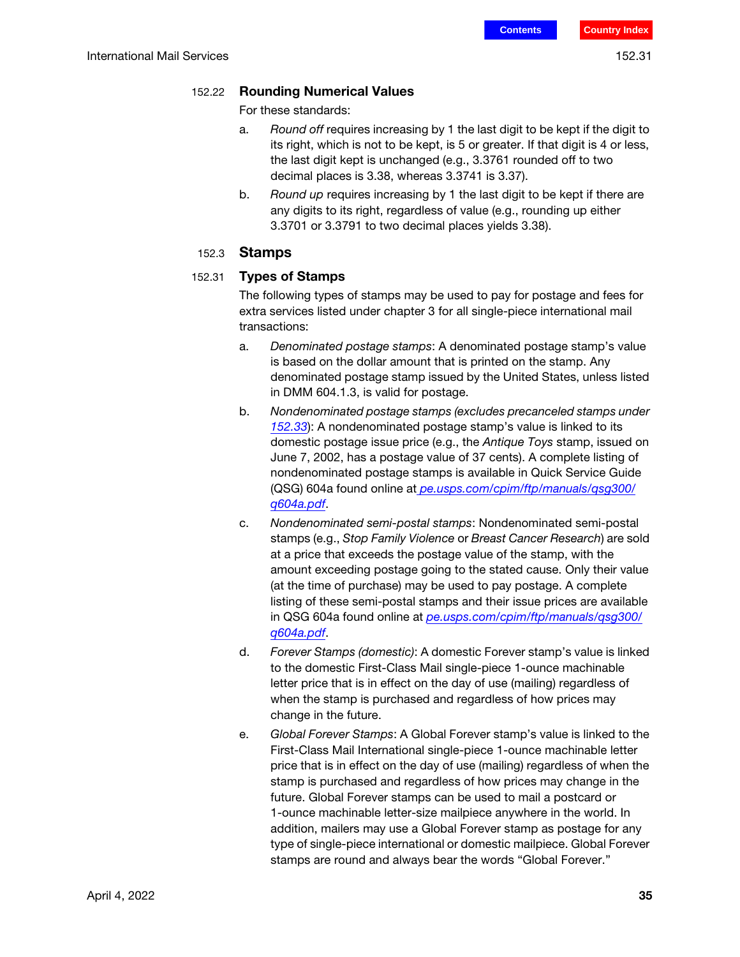#### 152.22 Rounding Numerical Values

For these standards:

- a. Round off requires increasing by 1 the last digit to be kept if the digit to its right, which is not to be kept, is 5 or greater. If that digit is 4 or less, the last digit kept is unchanged (e.g., 3.3761 rounded off to two decimal places is 3.38, whereas 3.3741 is 3.37).
- b. Round up requires increasing by 1 the last digit to be kept if there are any digits to its right, regardless of value (e.g., rounding up either 3.3701 or 3.3791 to two decimal places yields 3.38).

#### 152.3 Stamps

#### <span id="page-34-0"></span>152.31 Types of Stamps

The following types of stamps may be used to pay for postage and fees for extra services listed under chapter 3 for all single-piece international mail transactions:

- a. Denominated postage stamps: A denominated postage stamp's value is based on the dollar amount that is printed on the stamp. Any denominated postage stamp issued by the United States, unless listed in DMM 604.1.3, is valid for postage.
- <span id="page-34-1"></span>b. Nondenominated postage stamps (excludes precanceled stamps under [152.33](#page-35-0)): A nondenominated postage stamp's value is linked to its domestic postage issue price (e.g., the Antique Toys stamp, issued on June 7, 2002, has a postage value of 37 cents). A complete listing of nondenominated postage stamps is available in Quick Service Guide (QSG) 604a found online at *pe.usps.com/cpim/ftp/manuals/qsg300/* [q604a.pdf](https://pe.usps.com/cpim/ftp/manuals/qsg300/q604a.pdf).
- <span id="page-34-2"></span>c. Nondenominated semi-postal stamps: Nondenominated semi-postal stamps (e.g., Stop Family Violence or Breast Cancer Research) are sold at a price that exceeds the postage value of the stamp, with the amount exceeding postage going to the stated cause. Only their value (at the time of purchase) may be used to pay postage. A complete listing of these semi-postal stamps and their issue prices are available in QSG 604a found online at [pe.usps.com/cpim/ftp/manuals/qsg300/](https://pe.usps.com/cpim/ftp/manuals/qsg300/q604a.pdf) [q604a.pdf](https://pe.usps.com/cpim/ftp/manuals/qsg300/q604a.pdf).
- d. Forever Stamps (domestic): A domestic Forever stamp's value is linked to the domestic First-Class Mail single-piece 1-ounce machinable letter price that is in effect on the day of use (mailing) regardless of when the stamp is purchased and regardless of how prices may change in the future.
- e. Global Forever Stamps: A Global Forever stamp's value is linked to the First-Class Mail International single-piece 1-ounce machinable letter price that is in effect on the day of use (mailing) regardless of when the stamp is purchased and regardless of how prices may change in the future. Global Forever stamps can be used to mail a postcard or 1-ounce machinable letter-size mailpiece anywhere in the world. In addition, mailers may use a Global Forever stamp as postage for any type of single-piece international or domestic mailpiece. Global Forever stamps are round and always bear the words "Global Forever."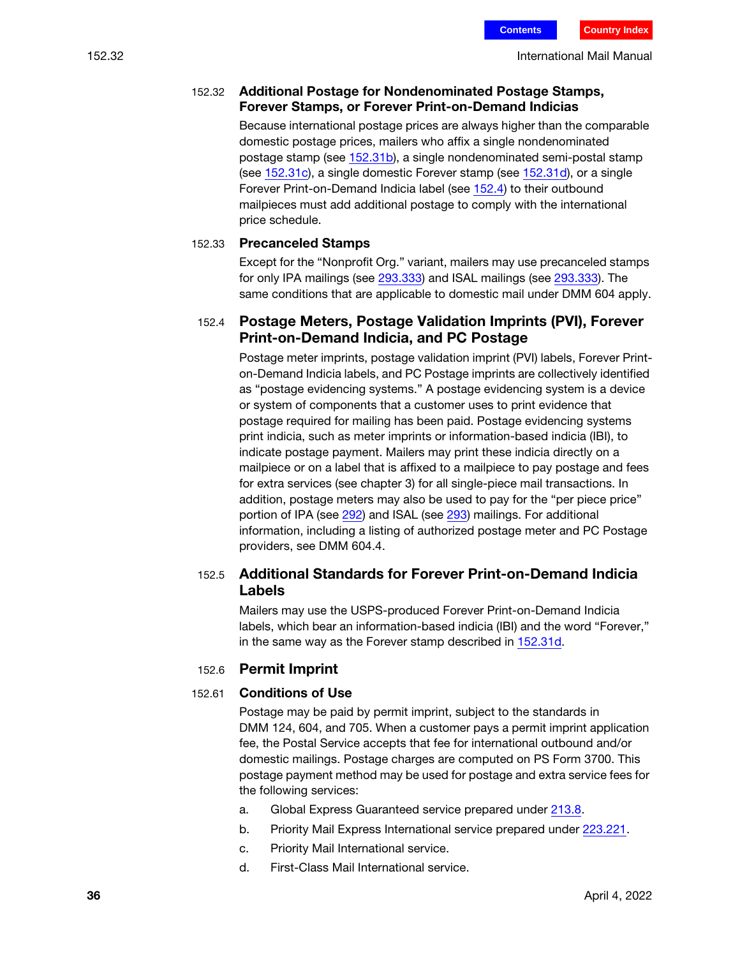#### 152.32 Additional Postage for Nondenominated Postage Stamps, Forever Stamps, or Forever Print-on-Demand Indicias

Because international postage prices are always higher than the comparable domestic postage prices, mailers who affix a single nondenominated postage stamp (see [152.31](#page-34-0)[b](#page-34-1)), a single nondenominated semi-postal stamp (see [152.31](#page-34-0)[c](#page-34-2)), a single domestic Forever stamp (see [152.31](#page-34-0)d), or a single Forever Print-on-Demand Indicia label (see [152.4](#page-35-1)) to their outbound mailpieces must add additional postage to comply with the international price schedule.

#### <span id="page-35-0"></span>152.33 Precanceled Stamps

Except for the "Nonprofit Org." variant, mailers may use precanceled stamps for only IPA mailings (see 293.333) and ISAL mailings (see 293.333). The same conditions that are applicable to domestic mail under DMM 604 apply.

## <span id="page-35-1"></span>152.4 Postage Meters, Postage Validation Imprints (PVI), Forever Print-on-Demand Indicia, and PC Postage

Postage meter imprints, postage validation imprint (PVI) labels, Forever Printon-Demand Indicia labels, and PC Postage imprints are collectively identified as "postage evidencing systems." A postage evidencing system is a device or system of components that a customer uses to print evidence that postage required for mailing has been paid. Postage evidencing systems print indicia, such as meter imprints or information-based indicia (IBI), to indicate postage payment. Mailers may print these indicia directly on a mailpiece or on a label that is affixed to a mailpiece to pay postage and fees for extra services (see chapter 3) for all single-piece mail transactions. In addition, postage meters may also be used to pay for the "per piece price" portion of IPA (see 292) and ISAL (see 293) mailings. For additional information, including a listing of authorized postage meter and PC Postage providers, see DMM 604.4.

## 152.5 Additional Standards for Forever Print-on-Demand Indicia Labels

Mailers may use the USPS-produced Forever Print-on-Demand Indicia labels, which bear an information-based indicia (IBI) and the word "Forever," in the same way as the Forever stamp described in [152.31d](#page-34-0).

## 152.6 Permit Imprint

#### 152.61 Conditions of Use

Postage may be paid by permit imprint, subject to the standards in DMM 124, 604, and 705. When a customer pays a permit imprint application fee, the Postal Service accepts that fee for international outbound and/or domestic mailings. Postage charges are computed on PS Form 3700. This postage payment method may be used for postage and extra service fees for the following services:

- a. Global Express Guaranteed service prepared under 213.8.
- b. Priority Mail Express International service prepared under 223.221.
- c. Priority Mail International service.
- d. First-Class Mail International service.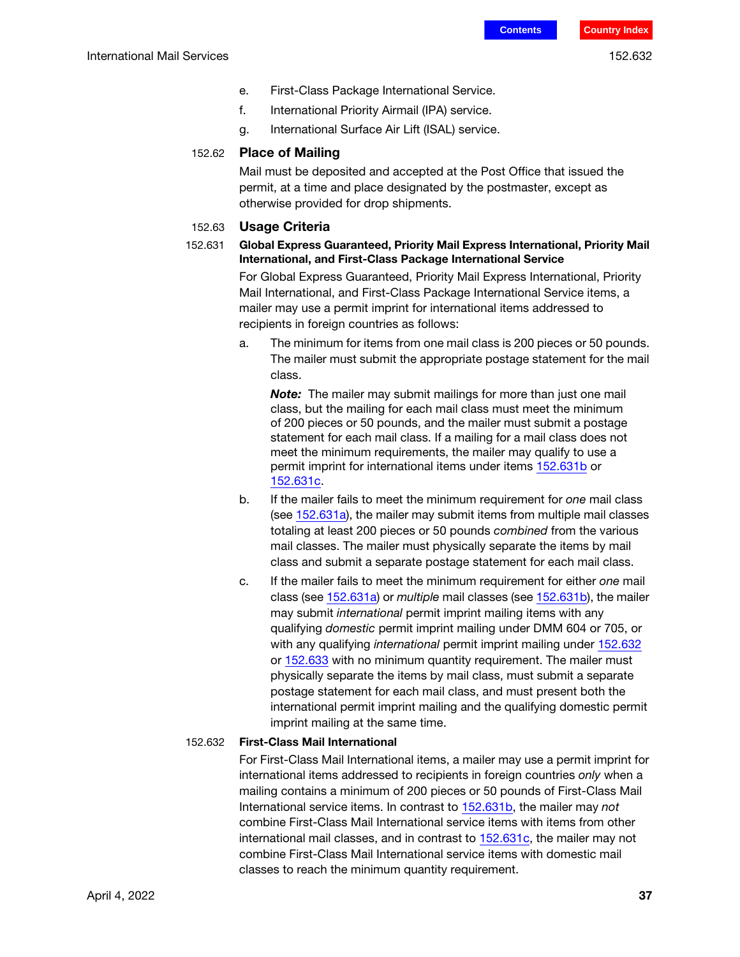- e. First-Class Package International Service.
- f. International Priority Airmail (IPA) service.
- g. International Surface Air Lift (ISAL) service.

#### 152.62 Place of Mailing

Mail must be deposited and accepted at the Post Office that issued the permit, at a time and place designated by the postmaster, except as otherwise provided for drop shipments.

#### 152.63 Usage Criteria

#### <span id="page-36-0"></span>152.631 Global Express Guaranteed, Priority Mail Express International, Priority Mail International, and First-Class Package International Service

For Global Express Guaranteed, Priority Mail Express International, Priority Mail International, and First-Class Package International Service items, a mailer may use a permit imprint for international items addressed to recipients in foreign countries as follows:

<span id="page-36-3"></span>a. The minimum for items from one mail class is 200 pieces or 50 pounds. The mailer must submit the appropriate postage statement for the mail class.

**Note:** The mailer may submit mailings for more than just one mail class, but the mailing for each mail class must meet the minimum of 200 pieces or 50 pounds, and the mailer must submit a postage statement for each mail class. If a mailing for a mail class does not meet the minimum requirements, the mailer may qualify to use a permit imprint for international items under items [152.631](#page-36-0)[b](#page-36-1) or [152.631](#page-36-0)[c.](#page-36-2)

- <span id="page-36-1"></span>b. If the mailer fails to meet the minimum requirement for one mail class (see [152.631](#page-36-0)[a](#page-36-3)), the mailer may submit items from multiple mail classes totaling at least 200 pieces or 50 pounds combined from the various mail classes. The mailer must physically separate the items by mail class and submit a separate postage statement for each mail class.
- <span id="page-36-2"></span>c. If the mailer fails to meet the minimum requirement for either one mail class (see [152.631](#page-36-0)[a\)](#page-36-3) or multiple mail classes (see [152.631](#page-36-0)[b\)](#page-36-1), the mailer may submit international permit imprint mailing items with any qualifying domestic permit imprint mailing under DMM 604 or 705, or with any qualifying international permit imprint mailing under [152.632](#page-36-4) or [152.633](#page-37-0) with no minimum quantity requirement. The mailer must physically separate the items by mail class, must submit a separate postage statement for each mail class, and must present both the international permit imprint mailing and the qualifying domestic permit imprint mailing at the same time.

#### <span id="page-36-4"></span>152.632 First-Class Mail International

For First-Class Mail International items, a mailer may use a permit imprint for international items addressed to recipients in foreign countries only when a mailing contains a minimum of 200 pieces or 50 pounds of First-Class Mail International service items. In contrast to [152.631](#page-36-0)[b](#page-36-1), the mailer may not combine First-Class Mail International service items with items from other international mail classes, and in contrast to [152.631](#page-36-0)[c](#page-36-2), the mailer may not combine First-Class Mail International service items with domestic mail classes to reach the minimum quantity requirement.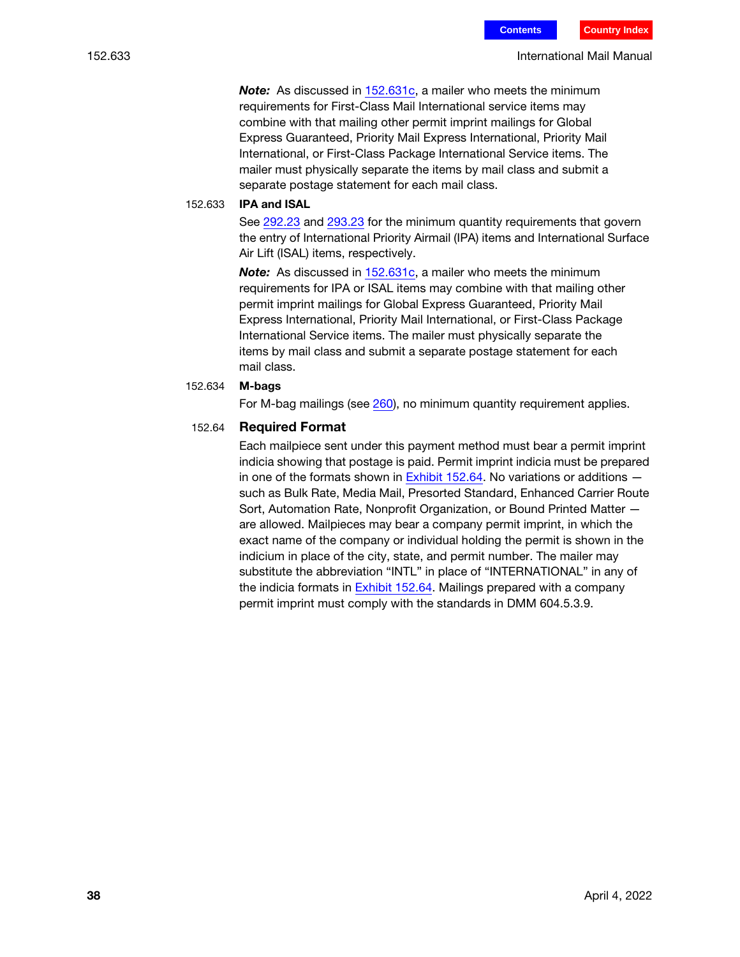152.633 International Mail Manual

Note: As discussed in [152.631](#page-36-0)[c,](#page-36-2) a mailer who meets the minimum requirements for First-Class Mail International service items may combine with that mailing other permit imprint mailings for Global Express Guaranteed, Priority Mail Express International, Priority Mail International, or First-Class Package International Service items. The mailer must physically separate the items by mail class and submit a separate postage statement for each mail class.

#### <span id="page-37-0"></span>152.633 IPA and ISAL

See 292.23 and 293.23 for the minimum quantity requirements that govern the entry of International Priority Airmail (IPA) items and International Surface Air Lift (ISAL) items, respectively.

Note: As discussed in [152.631](#page-36-0)[c,](#page-36-2) a mailer who meets the minimum requirements for IPA or ISAL items may combine with that mailing other permit imprint mailings for Global Express Guaranteed, Priority Mail Express International, Priority Mail International, or First-Class Package International Service items. The mailer must physically separate the items by mail class and submit a separate postage statement for each mail class.

#### 152.634 M-bags

For M-bag mailings (see 260), no minimum quantity requirement applies.

#### 152.64 Required Format

Each mailpiece sent under this payment method must bear a permit imprint indicia showing that postage is paid. Permit imprint indicia must be prepared in one of the formats shown in [Exhibit 152.64.](#page-38-0) No variations or additions  $$ such as Bulk Rate, Media Mail, Presorted Standard, Enhanced Carrier Route Sort, Automation Rate, Nonprofit Organization, or Bound Printed Matter are allowed. Mailpieces may bear a company permit imprint, in which the exact name of the company or individual holding the permit is shown in the indicium in place of the city, state, and permit number. The mailer may substitute the abbreviation "INTL" in place of "INTERNATIONAL" in any of the indicia formats in [Exhibit 152.64.](#page-38-0) Mailings prepared with a company permit imprint must comply with the standards in DMM 604.5.3.9.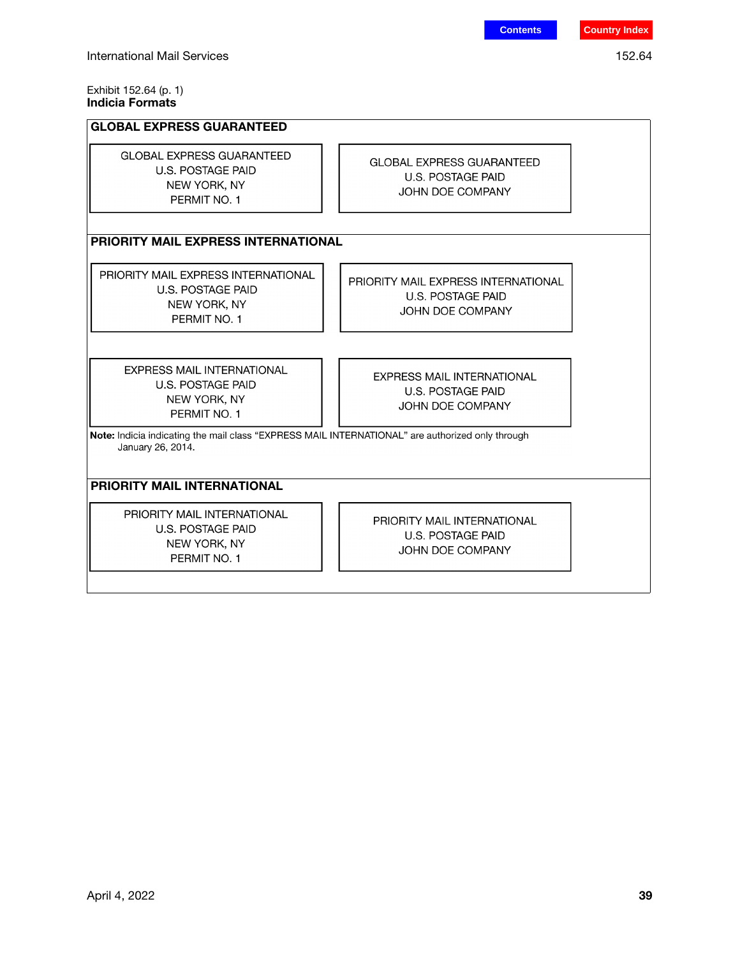#### <span id="page-38-0"></span>Exhibit 152.64 (p. 1) Indicia Formats

#### GLOBAL EXPRESS GUARANTEED **GLOBAL EXPRESS GUARANTEED GLOBAL EXPRESS GUARANTEED U.S. POSTAGE PAID** U.S. POSTAGE PAID NEW YORK, NY JOHN DOE COMPANY PERMIT NO. 1 PRIORITY MAIL EXPRESS INTERNATIONAL PRIORITY MAIL EXPRESS INTERNATIONAL PRIORITY MAIL EXPRESS INTERNATIONAL U.S. POSTAGE PAID U.S. POSTAGE PAID NEW YORK, NY JOHN DOE COMPANY PERMIT NO. 1 **EXPRESS MAIL INTERNATIONAL** EXPRESS MAIL INTERNATIONAL U.S. POSTAGE PAID U.S. POSTAGE PAID NEW YORK, NY JOHN DOE COMPANY PERMIT NO. 1 Note: Indicia indicating the mail class "EXPRESS MAIL INTERNATIONAL" are authorized only through January 26, 2014. PRIORITY MAIL INTERNATIONAL PRIORITY MAIL INTERNATIONAL PRIORITY MAIL INTERNATIONAL U.S. POSTAGE PAID U.S. POSTAGE PAID NEW YORK, NY JOHN DOE COMPANY PERMIT NO. 1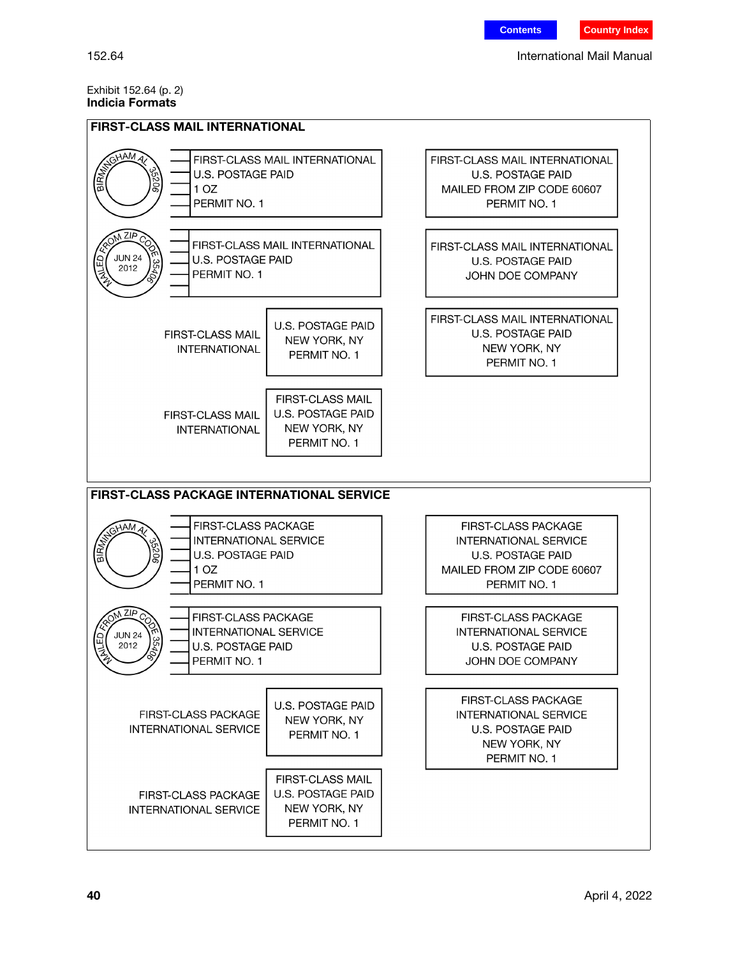#### Exhibit 152.64 (p. 2) Indicia Formats

| <b>FIRST-CLASS MAIL INTERNATIONAL</b>                                                                                                             |                                                                                                                                      |  |  |  |
|---------------------------------------------------------------------------------------------------------------------------------------------------|--------------------------------------------------------------------------------------------------------------------------------------|--|--|--|
| GHAM,<br>FIRST-CLASS MAIL INTERNATIONAL<br><b>EIRMA</b><br><b>U.S. POSTAGE PAID</b><br>506<br>1 <sub>OZ</sub><br>PERMIT NO. 1                     | <b>FIRST-CLASS MAIL INTERNATIONAL</b><br><b>U.S. POSTAGE PAID</b><br>MAILED FROM ZIP CODE 60607<br>PERMIT NO. 1                      |  |  |  |
| N ZIP<br>FIRST-CLASS MAIL INTERNATIONAL<br><b>JUN 24</b><br><b>U.S. POSTAGE PAID</b><br>35406<br>2012<br>PERMIT NO. 1                             | FIRST-CLASS MAIL INTERNATIONAL<br><b>U.S. POSTAGE PAID</b><br>JOHN DOE COMPANY                                                       |  |  |  |
| U.S. POSTAGE PAID<br><b>FIRST-CLASS MAIL</b><br>NEW YORK, NY<br><b>INTERNATIONAL</b><br>PERMIT NO. 1                                              | <b>FIRST-CLASS MAIL INTERNATIONAL</b><br>U.S. POSTAGE PAID<br>NEW YORK, NY<br>PERMIT NO. 1                                           |  |  |  |
| FIRST-CLASS MAIL<br>U.S. POSTAGE PAID<br>FIRST-CLASS MAIL<br>NEW YORK, NY<br><b>INTERNATIONAL</b><br>PERMIT NO. 1                                 |                                                                                                                                      |  |  |  |
| <b>FIRST-CLASS PACKAGE INTERNATIONAL SERVICE</b>                                                                                                  |                                                                                                                                      |  |  |  |
| <b>FIRST-CLASS PACKAGE</b><br>GHAMA<br><b>RIFINA</b><br><b>INTERNATIONAL SERVICE</b><br>U.S. POSTAGE PAID<br>1 OZ<br>PERMIT NO. 1                 | <b>FIRST-CLASS PACKAGE</b><br><b>INTERNATIONAL SERVICE</b><br><b>U.S. POSTAGE PAID</b><br>MAILED FROM ZIP CODE 60607<br>PERMIT NO. 1 |  |  |  |
| $\sqrt{2}$ $\sqrt{2}$<br>FIRST-CLASS PACKAGE<br><b>INTERNATIONAL SERVICE</b><br><b>JUN 24</b><br>354<br>2012<br>U.S. POSTAGE PAID<br>PERMIT NO. 1 | <b>FIRST-CLASS PACKAGE</b><br><b>INTERNATIONAL SERVICE</b><br><b>U.S. POSTAGE PAID</b><br>JOHN DOE COMPANY                           |  |  |  |
| U.S. POSTAGE PAID<br><b>FIRST-CLASS PACKAGE</b><br>NEW YORK, NY<br><b>INTERNATIONAL SERVICE</b><br>PERMIT NO. 1                                   | <b>FIRST-CLASS PACKAGE</b><br>INTERNATIONAL SERVICE<br><b>U.S. POSTAGE PAID</b><br>NEW YORK, NY<br>PERMIT NO. 1                      |  |  |  |
| FIRST-CLASS MAIL<br>U.S. POSTAGE PAID<br><b>FIRST-CLASS PACKAGE</b><br>NEW YORK, NY<br><b>INTERNATIONAL SERVICE</b><br>PERMIT NO. 1               |                                                                                                                                      |  |  |  |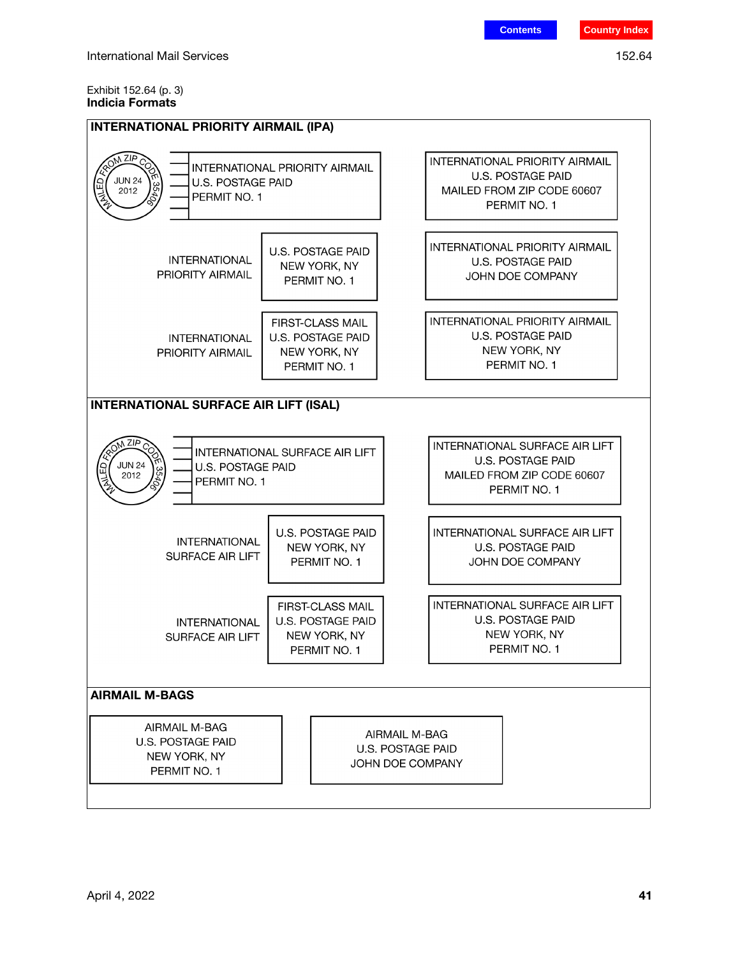#### Exhibit 152.64 (p. 3) Indicia Formats